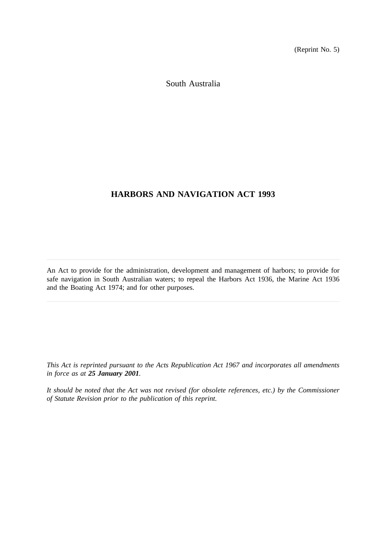(Reprint No. 5)

South Australia

# **HARBORS AND NAVIGATION ACT 1993**

An Act to provide for the administration, development and management of harbors; to provide for safe navigation in South Australian waters; to repeal the Harbors Act 1936, the Marine Act 1936 and the Boating Act 1974; and for other purposes.

*This Act is reprinted pursuant to the Acts Republication Act 1967 and incorporates all amendments in force as at 25 January 2001.*

*It should be noted that the Act was not revised (for obsolete references, etc.) by the Commissioner of Statute Revision prior to the publication of this reprint.*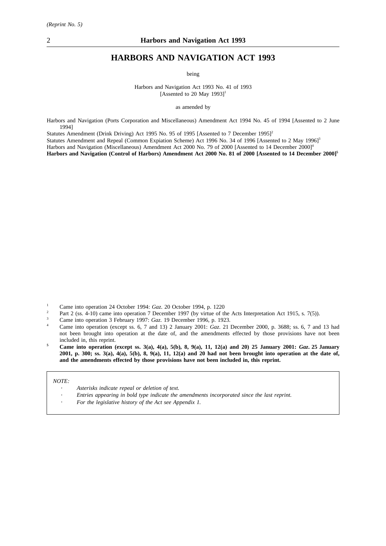# **HARBORS AND NAVIGATION ACT 1993**

being

Harbors and Navigation Act 1993 No. 41 of 1993 [Assented to 20 May 1993]<sup>1</sup>

as amended by

Harbors and Navigation (Ports Corporation and Miscellaneous) Amendment Act 1994 No. 45 of 1994 [Assented to 2 June 1994]

Statutes Amendment (Drink Driving) Act 1995 No. 95 of 1995 [Assented to 7 December 1995]<sup>2</sup>

Statutes Amendment and Repeal (Common Expiation Scheme) Act 1996 No. 34 of 1996 [Assented to 2 May 1996]<sup>3</sup>

Harbors and Navigation (Miscellaneous) Amendment Act 2000 No. 79 of 2000 [Assented to 14 December 2000]<sup>4</sup>

**Harbors and Navigation (Control of Harbors) Amendment Act 2000 No. 81 of 2000 [Assented to 14 December 2000]5**

- <sup>1</sup> Came into operation 24 October 1994: *Gaz.* 20 October 1994, p. 1220
- <sup>2</sup> Part 2 (ss. 4-10) came into operation 7 December 1997 (by virtue of the Acts Interpretation Act 1915, s. 7(5)).
- <sup>3</sup> Came into operation 3 February 1997: *Gaz*. 19 December 1996, p. 1923.
- <sup>4</sup> Came into operation (except ss. 6, 7 and 13) 2 January 2001: *Gaz*. 21 December 2000, p. 3688; ss. 6, 7 and 13 had not been brought into operation at the date of, and the amendments effected by those provisions have not been included in, this reprint.
- **<sup>5</sup> Came into operation (except ss. 3(a), 4(a), 5(b), 8, 9(a), 11, 12(a) and 20) 25 January 2001:** *Gaz***. 25 January 2001, p. 300; ss. 3(a), 4(a), 5(b), 8, 9(a), 11, 12(a) and 20 had not been brought into operation at the date of, and the amendments effected by those provisions have not been included in, this reprint.**

#### *NOTE:*

- *Asterisks indicate repeal or deletion of text.*
- *Entries appearing in bold type indicate the amendments incorporated since the last reprint.*
- *For the legislative history of the Act see Appendix 1.*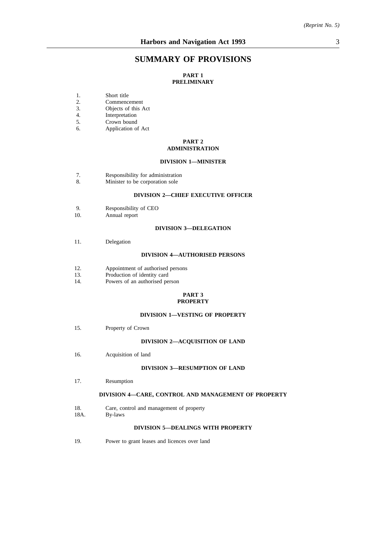# **SUMMARY OF PROVISIONS**

### **PART 1 PRELIMINARY**

- 1. Short title
- 2. Commencement<br>3. Objects of this A
- Objects of this Act
- 4. Interpretation
- 5. Crown bound
- 6. Application of Act

#### **PART 2 ADMINISTRATION**

#### **DIVISION 1—MINISTER**

- 7. Responsibility for administration
- 8. Minister to be corporation sole

### **DIVISION 2—CHIEF EXECUTIVE OFFICER**

- 9. Responsibility of CEO<br>10. Annual report
- Annual report

#### **DIVISION 3—DELEGATION**

11. Delegation

#### **DIVISION 4—AUTHORISED PERSONS**

- 12. Appointment of authorised persons<br>13. Production of identity card
- Production of identity card
- 14. Powers of an authorised person

#### **PART 3 PROPERTY**

#### **DIVISION 1—VESTING OF PROPERTY**

15. Property of Crown

#### **DIVISION 2—ACQUISITION OF LAND**

16. Acquisition of land

#### **DIVISION 3—RESUMPTION OF LAND**

17. Resumption

#### **DIVISION 4—CARE, CONTROL AND MANAGEMENT OF PROPERTY**

- 18. Care, control and management of property
- 18A. By-laws

#### **DIVISION 5—DEALINGS WITH PROPERTY**

19. Power to grant leases and licences over land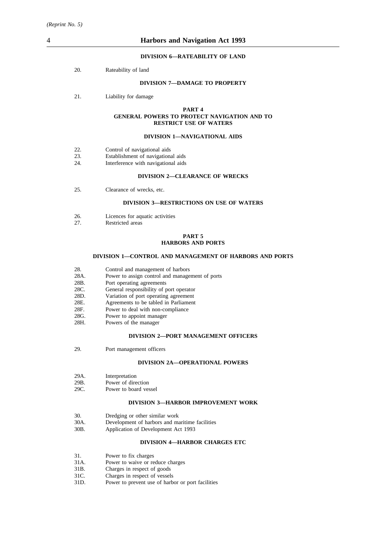#### **DIVISION 6—RATEABILITY OF LAND**

20. Rateability of land

### **DIVISION 7—DAMAGE TO PROPERTY**

21. Liability for damage

#### **PART 4 GENERAL POWERS TO PROTECT NAVIGATION AND TO RESTRICT USE OF WATERS**

#### **DIVISION 1—NAVIGATIONAL AIDS**

- 22. Control of navigational aids
- 23. Establishment of navigational aids<br>24. Interference with navigational aids
- Interference with navigational aids

#### **DIVISION 2—CLEARANCE OF WRECKS**

25. Clearance of wrecks, etc.

#### **DIVISION 3—RESTRICTIONS ON USE OF WATERS**

- 26. Licences for aquatic activities<br>27. Restricted areas
- Restricted areas

#### **PART 5 HARBORS AND PORTS**

#### **DIVISION 1—CONTROL AND MANAGEMENT OF HARBORS AND PORTS**

- 
- 28. Control and management of harbors<br>28A. Power to assign control and manage 28A. Power to assign control and management of ports<br>28B. Port operating agreements
- 28B. Port operating agreements<br>28C. General responsibility of p
- General responsibility of port operator
- 28D. Variation of port operating agreement<br>28E. Agreements to be tabled in Parliament
- 28E. Agreements to be tabled in Parliament 28F. Power to deal with non-compliance
- Power to deal with non-compliance
- 
- 28G. Power to appoint manager<br>28H. Powers of the manager Powers of the manager

#### **DIVISION 2—PORT MANAGEMENT OFFICERS**

29. Port management officers

#### **DIVISION 2A—OPERATIONAL POWERS**

- 29A. Interpretation
- 29B. Power of direction
- 29C. Power to board vessel

#### **DIVISION 3—HARBOR IMPROVEMENT WORK**

- 30. Dredging or other similar work<br>30A. Development of harbors and ma
- Development of harbors and maritime facilities
- 30B. Application of Development Act 1993

#### **DIVISION 4—HARBOR CHARGES ETC**

- 31. Power to fix charges
- 31A. Power to waive or reduce charges
- 31B. Charges in respect of goods<br>31C. Charges in respect of vessel
- Charges in respect of vessels
- 31D. Power to prevent use of harbor or port facilities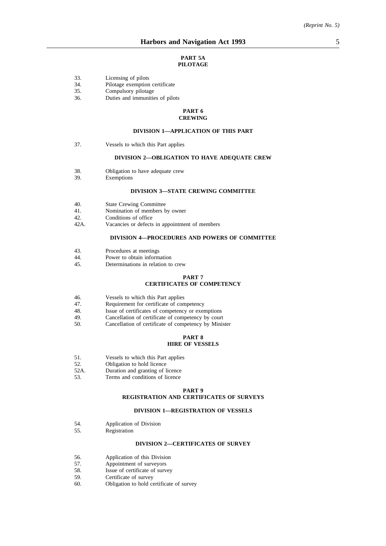#### **PART 5A PILOTAGE**

- 33. Licensing of pilots
- 34. Pilotage exemption certificate
- 35. Compulsory pilotage
- 36. Duties and immunities of pilots

#### **PART 6 CREWING**

### **DIVISION 1—APPLICATION OF THIS PART**

37. Vessels to which this Part applies

#### **DIVISION 2—OBLIGATION TO HAVE ADEQUATE CREW**

- 38. Obligation to have adequate crew
- 39. Exemptions

#### **DIVISION 3—STATE CREWING COMMITTEE**

- 40. State Crewing Committee
- 41. Nomination of members by owner
- 
- 42. Conditions of office<br>42A. Vacancies or defects Vacancies or defects in appointment of members

#### **DIVISION 4—PROCEDURES AND POWERS OF COMMITTEE**

- 43. Procedures at meetings
- 44. Power to obtain information<br>45. Determinations in relation to
- Determinations in relation to crew

# **PART 7**

### **CERTIFICATES OF COMPETENCY**

- 46. Vessels to which this Part applies<br>47. Requirement for certificate of con
- Requirement for certificate of competency
- 48. Issue of certificates of competency or exemptions<br>49 Cancellation of certificate of competency by court
- Cancellation of certificate of competency by court
- 50. Cancellation of certificate of competency by Minister

### **PART 8 HIRE OF VESSELS**

- 51. Vessels to which this Part applies
- 52. Obligation to hold licence
- 52A. Duration and granting of licence
- 53. Terms and conditions of licence

#### **PART 9**

#### **REGISTRATION AND CERTIFICATES OF SURVEYS**

#### **DIVISION 1—REGISTRATION OF VESSELS**

- 54. Application of Division<br>55. Registration
- Registration

#### **DIVISION 2—CERTIFICATES OF SURVEY**

- 56. Application of this Division
- 57. Appointment of surveyors
- 58. Issue of certificate of survey<br>59. Certificate of survey
- Certificate of survey
- 60. Obligation to hold certificate of survey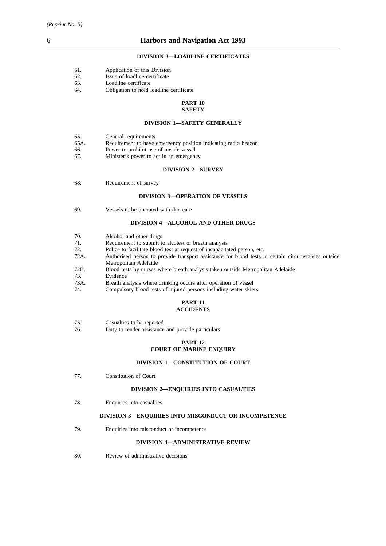### **DIVISION 3—LOADLINE CERTIFICATES**

| 61. | Application of this Division |  |  |  |
|-----|------------------------------|--|--|--|
|-----|------------------------------|--|--|--|

- 62. Issue of loadline certificate
- 63. Loadline certificate<br>64. Obligation to hold 1
- Obligation to hold loadline certificate

#### **PART 10 SAFETY**

#### **DIVISION 1—SAFETY GENERALLY**

| 65.  | General requirements                                           |
|------|----------------------------------------------------------------|
| 65A. | Requirement to have emergency position indicating radio beacon |
| 66.  | Power to prohibit use of unsafe vessel                         |
| 67.  | Minister's power to act in an emergency                        |

#### **DIVISION 2—SURVEY**

68. Requirement of survey

#### **DIVISION 3—OPERATION OF VESSELS**

69. Vessels to be operated with due care

#### **DIVISION 4—ALCOHOL AND OTHER DRUGS**

| 70.  | Alcohol and other drugs                                                                            |
|------|----------------------------------------------------------------------------------------------------|
| 71.  | Requirement to submit to alcotest or breath analysis                                               |
| 72.  | Police to facilitate blood test at request of incapacitated person, etc.                           |
| 72A. | Authorised person to provide transport assistance for blood tests in certain circumstances outside |
|      | Metropolitan Adelaide                                                                              |
| 72B. | Blood tests by nurses where breath analysis taken outside Metropolitan Adelaide                    |
| 73.  | Evidence                                                                                           |
| 73A. | Breath analysis where drinking occurs after operation of vessel                                    |

74. Compulsory blood tests of injured persons including water skiers

#### **PART 11 ACCIDENTS**

| 75. | Casualties to be reported |  |  |
|-----|---------------------------|--|--|
|-----|---------------------------|--|--|

76. Duty to render assistance and provide particulars

### **PART 12 COURT OF MARINE ENQUIRY**

#### **DIVISION 1—CONSTITUTION OF COURT**

77. Constitution of Court

### **DIVISION 2—ENQUIRIES INTO CASUALTIES**

78. Enquiries into casualties

### **DIVISION 3—ENQUIRIES INTO MISCONDUCT OR INCOMPETENCE**

79. Enquiries into misconduct or incompetence

#### **DIVISION 4—ADMINISTRATIVE REVIEW**

80. Review of administrative decisions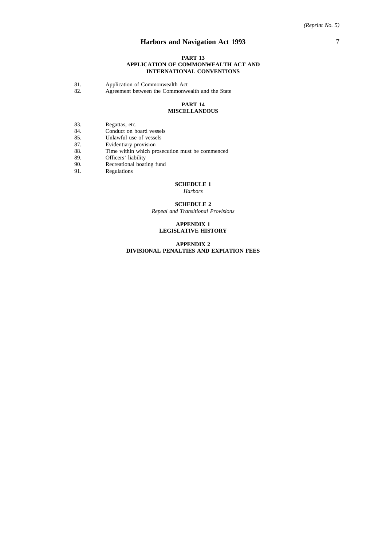#### **PART 13 APPLICATION OF COMMONWEALTH ACT AND INTERNATIONAL CONVENTIONS**

- 81. Application of Commonwealth Act 82. Agreement between the Commonwe
- Agreement between the Commonwealth and the State

#### **PART 14 MISCELLANEOUS**

- 83. Regattas, etc.<br>84. Conduct on b
- 
- 84. Conduct on board vessels<br>85. Unlawful use of vessels Unlawful use of vessels
- 87. Evidentiary provision
- 88. Time within which prosecution must be commenced
- 89. Officers' liability<br>90. Recreational boat
- Recreational boating fund
- 91. Regulations

# **SCHEDULE 1**

*Harbors*

## **SCHEDULE 2**

*Repeal and Transitional Provisions*

#### **APPENDIX 1 LEGISLATIVE HISTORY**

**APPENDIX 2 DIVISIONAL PENALTIES AND EXPIATION FEES**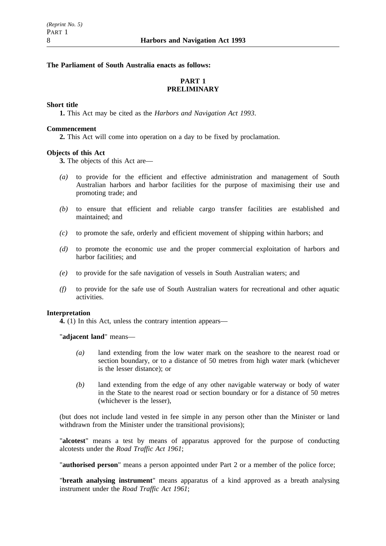### **The Parliament of South Australia enacts as follows:**

# **PART 1 PRELIMINARY**

### **Short title**

**1.** This Act may be cited as the *Harbors and Navigation Act 1993*.

### **Commencement**

**2.** This Act will come into operation on a day to be fixed by proclamation.

## **Objects of this Act**

**3.** The objects of this Act are—

- *(a)* to provide for the efficient and effective administration and management of South Australian harbors and harbor facilities for the purpose of maximising their use and promoting trade; and
- *(b)* to ensure that efficient and reliable cargo transfer facilities are established and maintained; and
- *(c)* to promote the safe, orderly and efficient movement of shipping within harbors; and
- *(d)* to promote the economic use and the proper commercial exploitation of harbors and harbor facilities; and
- *(e)* to provide for the safe navigation of vessels in South Australian waters; and
- *(f)* to provide for the safe use of South Australian waters for recreational and other aquatic activities.

### **Interpretation**

**4.** (1) In this Act, unless the contrary intention appears—

"**adjacent land**" means—

- *(a)* land extending from the low water mark on the seashore to the nearest road or section boundary, or to a distance of 50 metres from high water mark (whichever is the lesser distance); or
- *(b)* land extending from the edge of any other navigable waterway or body of water in the State to the nearest road or section boundary or for a distance of 50 metres (whichever is the lesser),

(but does not include land vested in fee simple in any person other than the Minister or land withdrawn from the Minister under the transitional provisions);

"**alcotest**" means a test by means of apparatus approved for the purpose of conducting alcotests under the *Road Traffic Act 1961*;

"**authorised person**" means a person appointed under Part 2 or a member of the police force;

"**breath analysing instrument**" means apparatus of a kind approved as a breath analysing instrument under the *Road Traffic Act 1961*;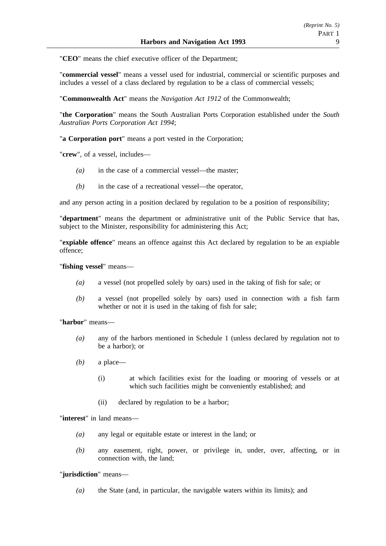"**CEO**" means the chief executive officer of the Department;

"**commercial vessel**" means a vessel used for industrial, commercial or scientific purposes and includes a vessel of a class declared by regulation to be a class of commercial vessels;

"**Commonwealth Act**" means the *Navigation Act 1912* of the Commonwealth;

"**the Corporation**" means the South Australian Ports Corporation established under the *South Australian Ports Corporation Act 1994*;

"**a Corporation port**" means a port vested in the Corporation;

"**crew**", of a vessel, includes—

- *(a)* in the case of a commercial vessel—the master;
- *(b)* in the case of a recreational vessel—the operator,

and any person acting in a position declared by regulation to be a position of responsibility;

"**department**" means the department or administrative unit of the Public Service that has, subject to the Minister, responsibility for administering this Act;

"**expiable offence**" means an offence against this Act declared by regulation to be an expiable offence;

"**fishing vessel**" means—

- *(a)* a vessel (not propelled solely by oars) used in the taking of fish for sale; or
- *(b)* a vessel (not propelled solely by oars) used in connection with a fish farm whether or not it is used in the taking of fish for sale;

"**harbor**" means—

- *(a)* any of the harbors mentioned in Schedule 1 (unless declared by regulation not to be a harbor); or
- *(b)* a place—
	- (i) at which facilities exist for the loading or mooring of vessels or at which such facilities might be conveniently established; and
	- (ii) declared by regulation to be a harbor;

"**interest**" in land means—

- *(a)* any legal or equitable estate or interest in the land; or
- *(b)* any easement, right, power, or privilege in, under, over, affecting, or in connection with, the land;

# "**jurisdiction**" means—

*(a)* the State (and, in particular, the navigable waters within its limits); and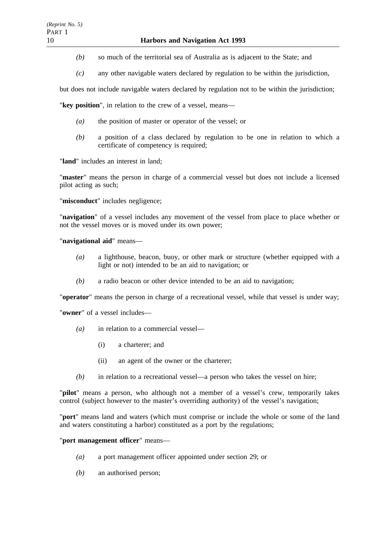- *(b)* so much of the territorial sea of Australia as is adjacent to the State; and
- *(c)* any other navigable waters declared by regulation to be within the jurisdiction,

but does not include navigable waters declared by regulation not to be within the jurisdiction;

"**key position**", in relation to the crew of a vessel, means—

- *(a)* the position of master or operator of the vessel; or
- *(b)* a position of a class declared by regulation to be one in relation to which a certificate of competency is required;

"**land**" includes an interest in land;

"**master**" means the person in charge of a commercial vessel but does not include a licensed pilot acting as such;

"**misconduct**" includes negligence;

"**navigation**" of a vessel includes any movement of the vessel from place to place whether or not the vessel moves or is moved under its own power;

### "**navigational aid**" means—

- *(a)* a lighthouse, beacon, buoy, or other mark or structure (whether equipped with a light or not) intended to be an aid to navigation; or
- *(b)* a radio beacon or other device intended to be an aid to navigation;

"**operator**" means the person in charge of a recreational vessel, while that vessel is under way;

"**owner**" of a vessel includes—

- *(a)* in relation to a commercial vessel—
	- (i) a charterer; and
	- (ii) an agent of the owner or the charterer;
- *(b)* in relation to a recreational vessel—a person who takes the vessel on hire;

"**pilot**" means a person, who although not a member of a vessel's crew, temporarily takes control (subject however to the master's overriding authority) of the vessel's navigation;

"**port**" means land and waters (which must comprise or include the whole or some of the land and waters constituting a harbor) constituted as a port by the regulations;

## "**port management officer**" means—

- *(a)* a port management officer appointed under section 29; or
- *(b)* an authorised person;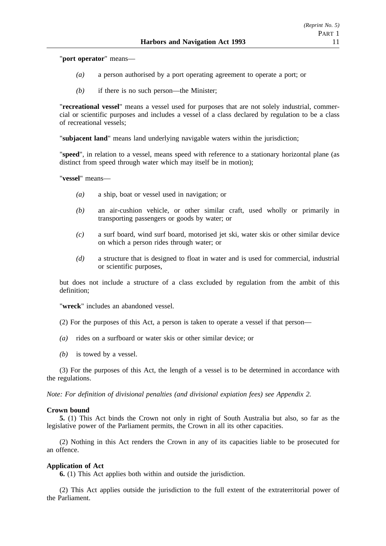"**port operator**" means—

- *(a)* a person authorised by a port operating agreement to operate a port; or
- *(b)* if there is no such person—the Minister;

"**recreational vessel**" means a vessel used for purposes that are not solely industrial, commercial or scientific purposes and includes a vessel of a class declared by regulation to be a class of recreational vessels;

"**subjacent land**" means land underlying navigable waters within the jurisdiction;

"**speed**", in relation to a vessel, means speed with reference to a stationary horizontal plane (as distinct from speed through water which may itself be in motion);

"**vessel**" means—

- *(a)* a ship, boat or vessel used in navigation; or
- *(b)* an air-cushion vehicle, or other similar craft, used wholly or primarily in transporting passengers or goods by water; or
- *(c)* a surf board, wind surf board, motorised jet ski, water skis or other similar device on which a person rides through water; or
- *(d)* a structure that is designed to float in water and is used for commercial, industrial or scientific purposes,

but does not include a structure of a class excluded by regulation from the ambit of this definition;

"**wreck**" includes an abandoned vessel.

- (2) For the purposes of this Act, a person is taken to operate a vessel if that person—
- *(a)* rides on a surfboard or water skis or other similar device; or
- *(b)* is towed by a vessel.

(3) For the purposes of this Act, the length of a vessel is to be determined in accordance with the regulations.

*Note: For definition of divisional penalties (and divisional expiation fees) see Appendix 2.*

### **Crown bound**

**5.** (1) This Act binds the Crown not only in right of South Australia but also, so far as the legislative power of the Parliament permits, the Crown in all its other capacities.

(2) Nothing in this Act renders the Crown in any of its capacities liable to be prosecuted for an offence.

### **Application of Act**

**6.** (1) This Act applies both within and outside the jurisdiction.

(2) This Act applies outside the jurisdiction to the full extent of the extraterritorial power of the Parliament.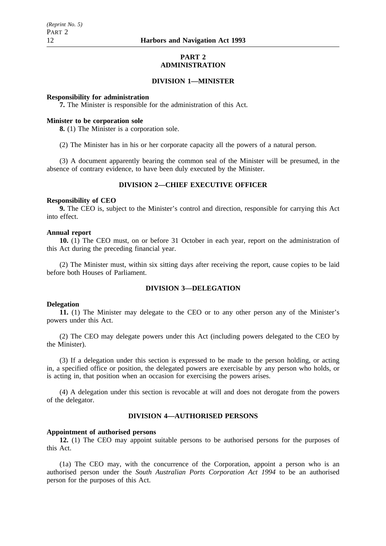### **PART 2 ADMINISTRATION**

### **DIVISION 1—MINISTER**

### **Responsibility for administration**

**7.** The Minister is responsible for the administration of this Act.

### **Minister to be corporation sole**

**8.** (1) The Minister is a corporation sole.

(2) The Minister has in his or her corporate capacity all the powers of a natural person.

(3) A document apparently bearing the common seal of the Minister will be presumed, in the absence of contrary evidence, to have been duly executed by the Minister.

## **DIVISION 2—CHIEF EXECUTIVE OFFICER**

#### **Responsibility of CEO**

**9.** The CEO is, subject to the Minister's control and direction, responsible for carrying this Act into effect.

### **Annual report**

**10.** (1) The CEO must, on or before 31 October in each year, report on the administration of this Act during the preceding financial year.

(2) The Minister must, within six sitting days after receiving the report, cause copies to be laid before both Houses of Parliament.

## **DIVISION 3—DELEGATION**

#### **Delegation**

**11.** (1) The Minister may delegate to the CEO or to any other person any of the Minister's powers under this Act.

(2) The CEO may delegate powers under this Act (including powers delegated to the CEO by the Minister).

(3) If a delegation under this section is expressed to be made to the person holding, or acting in, a specified office or position, the delegated powers are exercisable by any person who holds, or is acting in, that position when an occasion for exercising the powers arises.

(4) A delegation under this section is revocable at will and does not derogate from the powers of the delegator.

# **DIVISION 4—AUTHORISED PERSONS**

#### **Appointment of authorised persons**

**12.** (1) The CEO may appoint suitable persons to be authorised persons for the purposes of this Act.

(1a) The CEO may, with the concurrence of the Corporation, appoint a person who is an authorised person under the *South Australian Ports Corporation Act 1994* to be an authorised person for the purposes of this Act.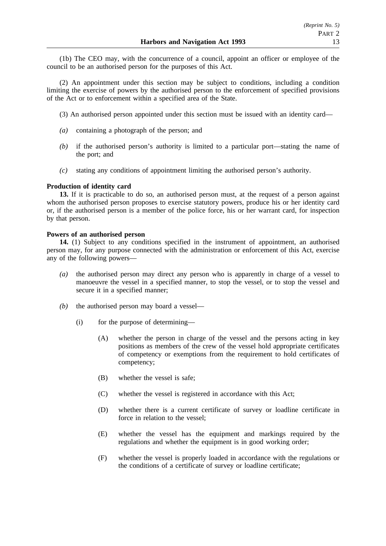(1b) The CEO may, with the concurrence of a council, appoint an officer or employee of the council to be an authorised person for the purposes of this Act.

(2) An appointment under this section may be subject to conditions, including a condition limiting the exercise of powers by the authorised person to the enforcement of specified provisions of the Act or to enforcement within a specified area of the State.

- (3) An authorised person appointed under this section must be issued with an identity card—
- *(a)* containing a photograph of the person; and
- *(b)* if the authorised person's authority is limited to a particular port—stating the name of the port; and
- *(c)* stating any conditions of appointment limiting the authorised person's authority.

## **Production of identity card**

**13.** If it is practicable to do so, an authorised person must, at the request of a person against whom the authorised person proposes to exercise statutory powers, produce his or her identity card or, if the authorised person is a member of the police force, his or her warrant card, for inspection by that person.

### **Powers of an authorised person**

**14.** (1) Subject to any conditions specified in the instrument of appointment, an authorised person may, for any purpose connected with the administration or enforcement of this Act, exercise any of the following powers—

- *(a)* the authorised person may direct any person who is apparently in charge of a vessel to manoeuvre the vessel in a specified manner, to stop the vessel, or to stop the vessel and secure it in a specified manner;
- *(b)* the authorised person may board a vessel—
	- (i) for the purpose of determining—
		- (A) whether the person in charge of the vessel and the persons acting in key positions as members of the crew of the vessel hold appropriate certificates of competency or exemptions from the requirement to hold certificates of competency;
		- (B) whether the vessel is safe;
		- (C) whether the vessel is registered in accordance with this Act;
		- (D) whether there is a current certificate of survey or loadline certificate in force in relation to the vessel;
		- (E) whether the vessel has the equipment and markings required by the regulations and whether the equipment is in good working order;
		- (F) whether the vessel is properly loaded in accordance with the regulations or the conditions of a certificate of survey or loadline certificate;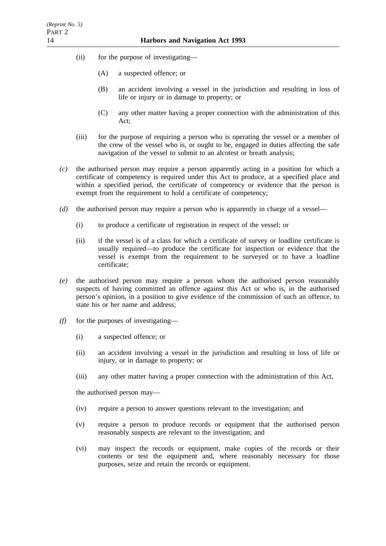- (ii) for the purpose of investigating—
	- (A) a suspected offence; or
	- (B) an accident involving a vessel in the jurisdiction and resulting in loss of life or injury or in damage to property; or
	- (C) any other matter having a proper connection with the administration of this Act;
- (iii) for the purpose of requiring a person who is operating the vessel or a member of the crew of the vessel who is, or ought to be, engaged in duties affecting the safe navigation of the vessel to submit to an alcotest or breath analysis;
- *(c)* the authorised person may require a person apparently acting in a position for which a certificate of competency is required under this Act to produce, at a specified place and within a specified period, the certificate of competency or evidence that the person is exempt from the requirement to hold a certificate of competency;
- *(d)* the authorised person may require a person who is apparently in charge of a vessel—
	- (i) to produce a certificate of registration in respect of the vessel; or
	- (ii) if the vessel is of a class for which a certificate of survey or loadline certificate is usually required—to produce the certificate for inspection or evidence that the vessel is exempt from the requirement to be surveyed or to have a loadline certificate;
- *(e)* the authorised person may require a person whom the authorised person reasonably suspects of having committed an offence against this Act or who is, in the authorised person's opinion, in a position to give evidence of the commission of such an offence, to state his or her name and address;
- *(f)* for the purposes of investigating—
	- (i) a suspected offence; or
	- (ii) an accident involving a vessel in the jurisdiction and resulting in loss of life or injury, or in damage to property; or
	- (iii) any other matter having a proper connection with the administration of this Act,

the authorised person may—

- (iv) require a person to answer questions relevant to the investigation; and
- (v) require a person to produce records or equipment that the authorised person reasonably suspects are relevant to the investigation; and
- (vi) may inspect the records or equipment, make copies of the records or their contents or test the equipment and, where reasonably necessary for those purposes, seize and retain the records or equipment.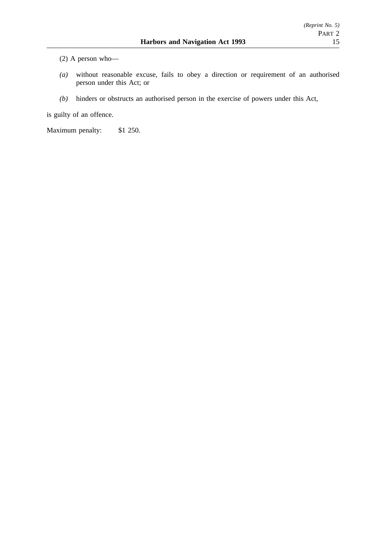(2) A person who—

- *(a)* without reasonable excuse, fails to obey a direction or requirement of an authorised person under this Act; or
- *(b)* hinders or obstructs an authorised person in the exercise of powers under this Act,

is guilty of an offence.

Maximum penalty: \$1 250.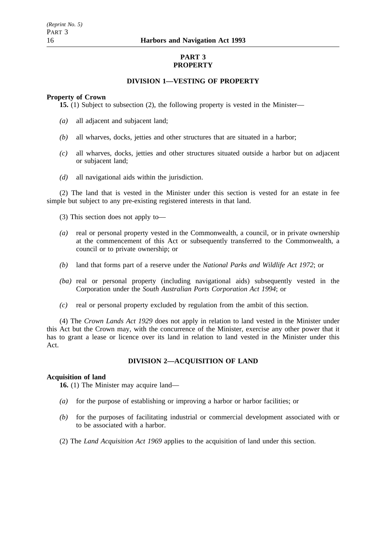# **PART 3 PROPERTY**

## **DIVISION 1—VESTING OF PROPERTY**

### **Property of Crown**

**15.** (1) Subject to subsection (2), the following property is vested in the Minister—

- *(a)* all adjacent and subjacent land;
- *(b)* all wharves, docks, jetties and other structures that are situated in a harbor;
- *(c)* all wharves, docks, jetties and other structures situated outside a harbor but on adjacent or subjacent land;
- *(d)* all navigational aids within the jurisdiction.

(2) The land that is vested in the Minister under this section is vested for an estate in fee simple but subject to any pre-existing registered interests in that land.

- (3) This section does not apply to—
- *(a)* real or personal property vested in the Commonwealth, a council, or in private ownership at the commencement of this Act or subsequently transferred to the Commonwealth, a council or to private ownership; or
- *(b)* land that forms part of a reserve under the *National Parks and Wildlife Act 1972*; or
- *(ba)* real or personal property (including navigational aids) subsequently vested in the Corporation under the *South Australian Ports Corporation Act 1994*; or
- *(c)* real or personal property excluded by regulation from the ambit of this section.

(4) The *Crown Lands Act 1929* does not apply in relation to land vested in the Minister under this Act but the Crown may, with the concurrence of the Minister, exercise any other power that it has to grant a lease or licence over its land in relation to land vested in the Minister under this Act.

# **DIVISION 2—ACQUISITION OF LAND**

### **Acquisition of land**

**16.** (1) The Minister may acquire land—

- *(a)* for the purpose of establishing or improving a harbor or harbor facilities; or
- *(b)* for the purposes of facilitating industrial or commercial development associated with or to be associated with a harbor.
- (2) The *Land Acquisition Act 1969* applies to the acquisition of land under this section.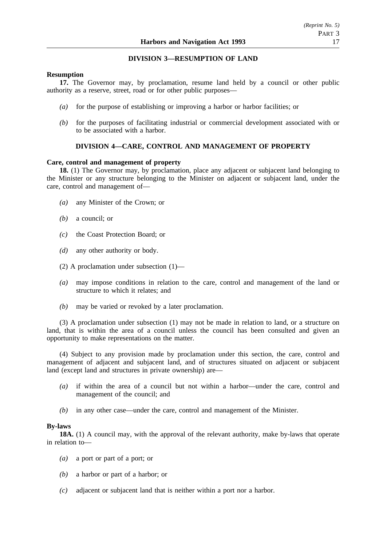## **DIVISION 3—RESUMPTION OF LAND**

### **Resumption**

**17.** The Governor may, by proclamation, resume land held by a council or other public authority as a reserve, street, road or for other public purposes—

- *(a)* for the purpose of establishing or improving a harbor or harbor facilities; or
- *(b)* for the purposes of facilitating industrial or commercial development associated with or to be associated with a harbor.

# **DIVISION 4—CARE, CONTROL AND MANAGEMENT OF PROPERTY**

### **Care, control and management of property**

**18.** (1) The Governor may, by proclamation, place any adjacent or subjacent land belonging to the Minister or any structure belonging to the Minister on adjacent or subjacent land, under the care, control and management of—

- *(a)* any Minister of the Crown; or
- *(b)* a council; or
- *(c)* the Coast Protection Board; or
- *(d)* any other authority or body.
- (2) A proclamation under subsection (1)—
- *(a)* may impose conditions in relation to the care, control and management of the land or structure to which it relates; and
- *(b)* may be varied or revoked by a later proclamation.

(3) A proclamation under subsection (1) may not be made in relation to land, or a structure on land, that is within the area of a council unless the council has been consulted and given an opportunity to make representations on the matter.

(4) Subject to any provision made by proclamation under this section, the care, control and management of adjacent and subjacent land, and of structures situated on adjacent or subjacent land (except land and structures in private ownership) are—

- *(a)* if within the area of a council but not within a harbor—under the care, control and management of the council; and
- *(b)* in any other case—under the care, control and management of the Minister.

### **By-laws**

**18A.** (1) A council may, with the approval of the relevant authority, make by-laws that operate in relation to—

- *(a)* a port or part of a port; or
- *(b)* a harbor or part of a harbor; or
- *(c)* adjacent or subjacent land that is neither within a port nor a harbor.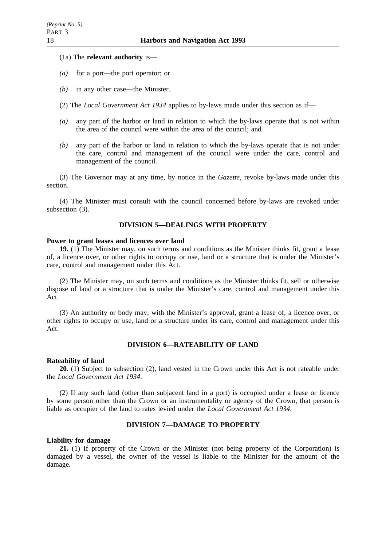- (1a) The **relevant authority** is—
- *(a)* for a port—the port operator; or
- *(b)* in any other case—the Minister.
- (2) The *Local Government Act 1934* applies to by-laws made under this section as if—
- *(a)* any part of the harbor or land in relation to which the by-laws operate that is not within the area of the council were within the area of the council; and
- *(b)* any part of the harbor or land in relation to which the by-laws operate that is not under the care, control and management of the council were under the care, control and management of the council.

(3) The Governor may at any time, by notice in the *Gazette*, revoke by-laws made under this section.

(4) The Minister must consult with the council concerned before by-laws are revoked under subsection (3).

### **DIVISION 5—DEALINGS WITH PROPERTY**

#### **Power to grant leases and licences over land**

**19.** (1) The Minister may, on such terms and conditions as the Minister thinks fit, grant a lease of, a licence over, or other rights to occupy or use, land or a structure that is under the Minister's care, control and management under this Act.

(2) The Minister may, on such terms and conditions as the Minister thinks fit, sell or otherwise dispose of land or a structure that is under the Minister's care, control and management under this Act.

(3) An authority or body may, with the Minister's approval, grant a lease of, a licence over, or other rights to occupy or use, land or a structure under its care, control and management under this Act.

## **DIVISION 6—RATEABILITY OF LAND**

### **Rateability of land**

**20.** (1) Subject to subsection (2), land vested in the Crown under this Act is not rateable under the *Local Government Act 1934*.

(2) If any such land (other than subjacent land in a port) is occupied under a lease or licence by some person other than the Crown or an instrumentality or agency of the Crown, that person is liable as occupier of the land to rates levied under the *Local Government Act 1934*.

# **DIVISION 7—DAMAGE TO PROPERTY**

#### **Liability for damage**

**21.** (1) If property of the Crown or the Minister (not being property of the Corporation) is damaged by a vessel, the owner of the vessel is liable to the Minister for the amount of the damage.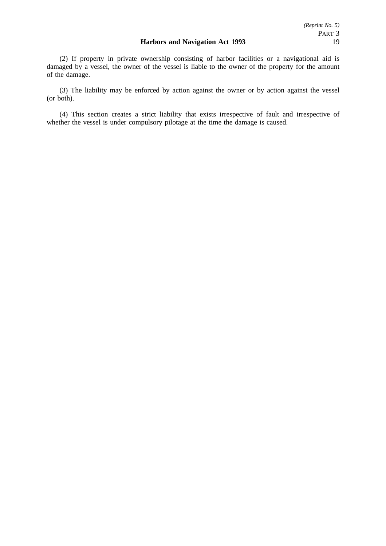(2) If property in private ownership consisting of harbor facilities or a navigational aid is damaged by a vessel, the owner of the vessel is liable to the owner of the property for the amount of the damage.

(3) The liability may be enforced by action against the owner or by action against the vessel (or both).

(4) This section creates a strict liability that exists irrespective of fault and irrespective of whether the vessel is under compulsory pilotage at the time the damage is caused.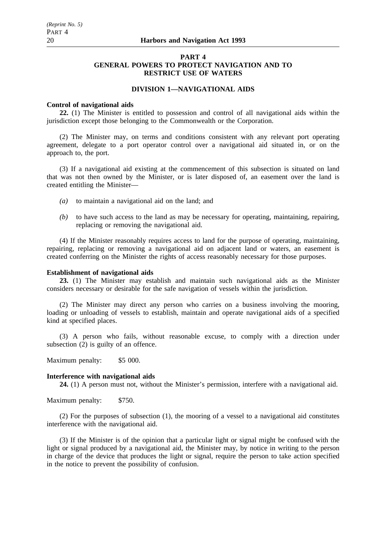## **PART 4 GENERAL POWERS TO PROTECT NAVIGATION AND TO RESTRICT USE OF WATERS**

## **DIVISION 1—NAVIGATIONAL AIDS**

#### **Control of navigational aids**

**22.** (1) The Minister is entitled to possession and control of all navigational aids within the jurisdiction except those belonging to the Commonwealth or the Corporation.

(2) The Minister may, on terms and conditions consistent with any relevant port operating agreement, delegate to a port operator control over a navigational aid situated in, or on the approach to, the port.

(3) If a navigational aid existing at the commencement of this subsection is situated on land that was not then owned by the Minister, or is later disposed of, an easement over the land is created entitling the Minister—

- *(a)* to maintain a navigational aid on the land; and
- *(b)* to have such access to the land as may be necessary for operating, maintaining, repairing, replacing or removing the navigational aid.

(4) If the Minister reasonably requires access to land for the purpose of operating, maintaining, repairing, replacing or removing a navigational aid on adjacent land or waters, an easement is created conferring on the Minister the rights of access reasonably necessary for those purposes.

### **Establishment of navigational aids**

**23.** (1) The Minister may establish and maintain such navigational aids as the Minister considers necessary or desirable for the safe navigation of vessels within the jurisdiction.

(2) The Minister may direct any person who carries on a business involving the mooring, loading or unloading of vessels to establish, maintain and operate navigational aids of a specified kind at specified places.

(3) A person who fails, without reasonable excuse, to comply with a direction under subsection  $(2)$  is guilty of an offence.

Maximum penalty: \$5 000.

#### **Interference with navigational aids**

**24.** (1) A person must not, without the Minister's permission, interfere with a navigational aid.

Maximum penalty: \$750.

(2) For the purposes of subsection (1), the mooring of a vessel to a navigational aid constitutes interference with the navigational aid.

(3) If the Minister is of the opinion that a particular light or signal might be confused with the light or signal produced by a navigational aid, the Minister may, by notice in writing to the person in charge of the device that produces the light or signal, require the person to take action specified in the notice to prevent the possibility of confusion.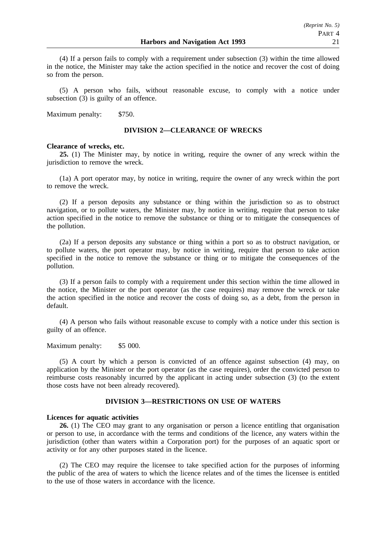(4) If a person fails to comply with a requirement under subsection (3) within the time allowed in the notice, the Minister may take the action specified in the notice and recover the cost of doing so from the person.

(5) A person who fails, without reasonable excuse, to comply with a notice under subsection (3) is guilty of an offence.

Maximum penalty: \$750.

### **DIVISION 2—CLEARANCE OF WRECKS**

#### **Clearance of wrecks, etc.**

**25.** (1) The Minister may, by notice in writing, require the owner of any wreck within the jurisdiction to remove the wreck.

(1a) A port operator may, by notice in writing, require the owner of any wreck within the port to remove the wreck.

(2) If a person deposits any substance or thing within the jurisdiction so as to obstruct navigation, or to pollute waters, the Minister may, by notice in writing, require that person to take action specified in the notice to remove the substance or thing or to mitigate the consequences of the pollution.

(2a) If a person deposits any substance or thing within a port so as to obstruct navigation, or to pollute waters, the port operator may, by notice in writing, require that person to take action specified in the notice to remove the substance or thing or to mitigate the consequences of the pollution.

(3) If a person fails to comply with a requirement under this section within the time allowed in the notice, the Minister or the port operator (as the case requires) may remove the wreck or take the action specified in the notice and recover the costs of doing so, as a debt, from the person in default.

(4) A person who fails without reasonable excuse to comply with a notice under this section is guilty of an offence.

Maximum penalty: \$5 000.

(5) A court by which a person is convicted of an offence against subsection (4) may, on application by the Minister or the port operator (as the case requires), order the convicted person to reimburse costs reasonably incurred by the applicant in acting under subsection (3) (to the extent those costs have not been already recovered).

### **DIVISION 3—RESTRICTIONS ON USE OF WATERS**

#### **Licences for aquatic activities**

**26.** (1) The CEO may grant to any organisation or person a licence entitling that organisation or person to use, in accordance with the terms and conditions of the licence, any waters within the jurisdiction (other than waters within a Corporation port) for the purposes of an aquatic sport or activity or for any other purposes stated in the licence.

(2) The CEO may require the licensee to take specified action for the purposes of informing the public of the area of waters to which the licence relates and of the times the licensee is entitled to the use of those waters in accordance with the licence.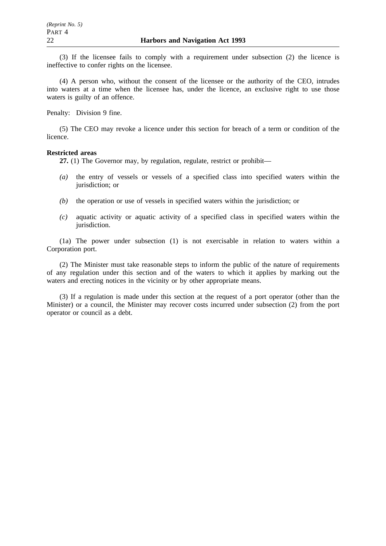(3) If the licensee fails to comply with a requirement under subsection (2) the licence is ineffective to confer rights on the licensee.

(4) A person who, without the consent of the licensee or the authority of the CEO, intrudes into waters at a time when the licensee has, under the licence, an exclusive right to use those waters is guilty of an offence.

Penalty: Division 9 fine.

(5) The CEO may revoke a licence under this section for breach of a term or condition of the licence.

#### **Restricted areas**

**27.** (1) The Governor may, by regulation, regulate, restrict or prohibit—

- *(a)* the entry of vessels or vessels of a specified class into specified waters within the jurisdiction; or
- *(b)* the operation or use of vessels in specified waters within the jurisdiction; or
- *(c)* aquatic activity or aquatic activity of a specified class in specified waters within the jurisdiction.

(1a) The power under subsection (1) is not exercisable in relation to waters within a Corporation port.

(2) The Minister must take reasonable steps to inform the public of the nature of requirements of any regulation under this section and of the waters to which it applies by marking out the waters and erecting notices in the vicinity or by other appropriate means.

(3) If a regulation is made under this section at the request of a port operator (other than the Minister) or a council, the Minister may recover costs incurred under subsection (2) from the port operator or council as a debt.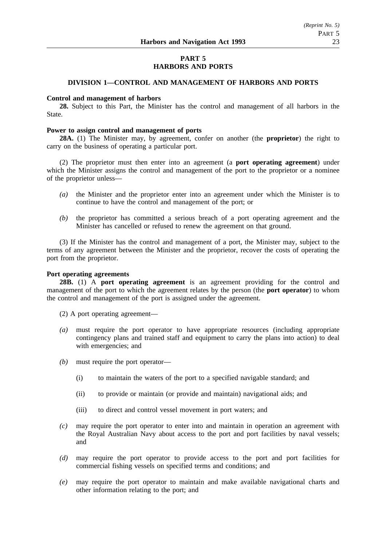# **PART 5 HARBORS AND PORTS**

## **DIVISION 1—CONTROL AND MANAGEMENT OF HARBORS AND PORTS**

### **Control and management of harbors**

**28.** Subject to this Part, the Minister has the control and management of all harbors in the State.

### **Power to assign control and management of ports**

**28A.** (1) The Minister may, by agreement, confer on another (the **proprietor**) the right to carry on the business of operating a particular port.

(2) The proprietor must then enter into an agreement (a **port operating agreement**) under which the Minister assigns the control and management of the port to the proprietor or a nominee of the proprietor unless—

- *(a)* the Minister and the proprietor enter into an agreement under which the Minister is to continue to have the control and management of the port; or
- *(b)* the proprietor has committed a serious breach of a port operating agreement and the Minister has cancelled or refused to renew the agreement on that ground.

(3) If the Minister has the control and management of a port, the Minister may, subject to the terms of any agreement between the Minister and the proprietor, recover the costs of operating the port from the proprietor.

# **Port operating agreements**

**28B.** (1) A **port operating agreement** is an agreement providing for the control and management of the port to which the agreement relates by the person (the **port operator**) to whom the control and management of the port is assigned under the agreement.

- (2) A port operating agreement—
- *(a)* must require the port operator to have appropriate resources (including appropriate contingency plans and trained staff and equipment to carry the plans into action) to deal with emergencies; and
- *(b)* must require the port operator—
	- (i) to maintain the waters of the port to a specified navigable standard; and
	- (ii) to provide or maintain (or provide and maintain) navigational aids; and
	- (iii) to direct and control vessel movement in port waters; and
- *(c)* may require the port operator to enter into and maintain in operation an agreement with the Royal Australian Navy about access to the port and port facilities by naval vessels; and
- *(d)* may require the port operator to provide access to the port and port facilities for commercial fishing vessels on specified terms and conditions; and
- *(e)* may require the port operator to maintain and make available navigational charts and other information relating to the port; and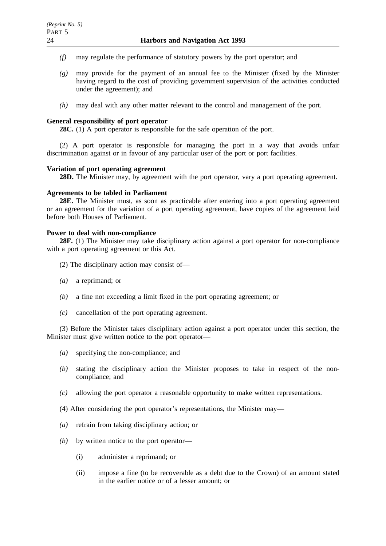- *(f)* may regulate the performance of statutory powers by the port operator; and
- *(g)* may provide for the payment of an annual fee to the Minister (fixed by the Minister having regard to the cost of providing government supervision of the activities conducted under the agreement); and
- *(h)* may deal with any other matter relevant to the control and management of the port.

### **General responsibility of port operator**

**28C.** (1) A port operator is responsible for the safe operation of the port.

(2) A port operator is responsible for managing the port in a way that avoids unfair discrimination against or in favour of any particular user of the port or port facilities.

### **Variation of port operating agreement**

**28D.** The Minister may, by agreement with the port operator, vary a port operating agreement.

### **Agreements to be tabled in Parliament**

**28E.** The Minister must, as soon as practicable after entering into a port operating agreement or an agreement for the variation of a port operating agreement, have copies of the agreement laid before both Houses of Parliament.

### **Power to deal with non-compliance**

**28F.** (1) The Minister may take disciplinary action against a port operator for non-compliance with a port operating agreement or this Act.

- (2) The disciplinary action may consist of—
- *(a)* a reprimand; or
- *(b)* a fine not exceeding a limit fixed in the port operating agreement; or
- *(c)* cancellation of the port operating agreement.

(3) Before the Minister takes disciplinary action against a port operator under this section, the Minister must give written notice to the port operator—

- *(a)* specifying the non-compliance; and
- *(b)* stating the disciplinary action the Minister proposes to take in respect of the noncompliance; and
- *(c)* allowing the port operator a reasonable opportunity to make written representations.
- (4) After considering the port operator's representations, the Minister may—
- *(a)* refrain from taking disciplinary action; or
- *(b)* by written notice to the port operator—
	- (i) administer a reprimand; or
	- (ii) impose a fine (to be recoverable as a debt due to the Crown) of an amount stated in the earlier notice or of a lesser amount; or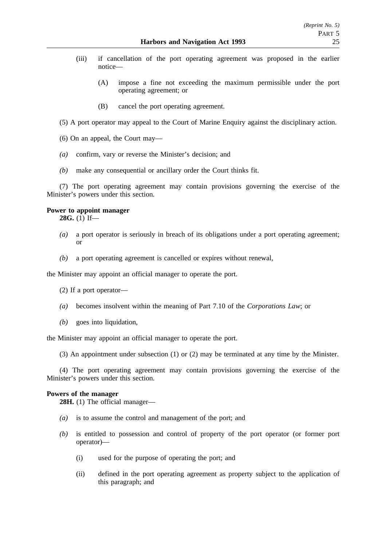- (iii) if cancellation of the port operating agreement was proposed in the earlier notice—
	- (A) impose a fine not exceeding the maximum permissible under the port operating agreement; or
	- (B) cancel the port operating agreement.

(5) A port operator may appeal to the Court of Marine Enquiry against the disciplinary action.

- (6) On an appeal, the Court may—
- *(a)* confirm, vary or reverse the Minister's decision; and
- *(b)* make any consequential or ancillary order the Court thinks fit.

(7) The port operating agreement may contain provisions governing the exercise of the Minister's powers under this section.

# **Power to appoint manager**

**28G.** (1) If—

- *(a)* a port operator is seriously in breach of its obligations under a port operating agreement; or
- *(b)* a port operating agreement is cancelled or expires without renewal,

the Minister may appoint an official manager to operate the port.

- (2) If a port operator—
- *(a)* becomes insolvent within the meaning of Part 7.10 of the *Corporations Law*; or
- *(b)* goes into liquidation,

the Minister may appoint an official manager to operate the port.

(3) An appointment under subsection (1) or (2) may be terminated at any time by the Minister.

(4) The port operating agreement may contain provisions governing the exercise of the Minister's powers under this section.

## **Powers of the manager**

**28H.** (1) The official manager—

- *(a)* is to assume the control and management of the port; and
- *(b)* is entitled to possession and control of property of the port operator (or former port operator)—
	- (i) used for the purpose of operating the port; and
	- (ii) defined in the port operating agreement as property subject to the application of this paragraph; and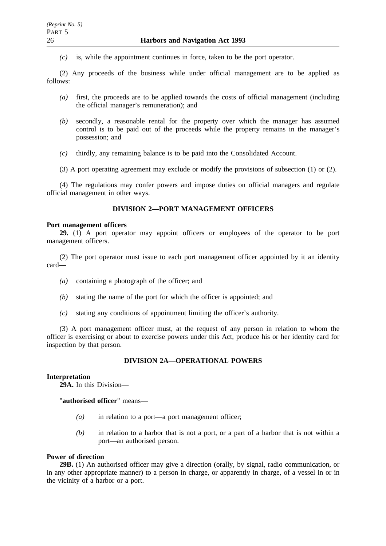*(c)* is, while the appointment continues in force, taken to be the port operator.

(2) Any proceeds of the business while under official management are to be applied as follows:

- *(a)* first, the proceeds are to be applied towards the costs of official management (including the official manager's remuneration); and
- *(b)* secondly, a reasonable rental for the property over which the manager has assumed control is to be paid out of the proceeds while the property remains in the manager's possession; and
- *(c)* thirdly, any remaining balance is to be paid into the Consolidated Account.
- (3) A port operating agreement may exclude or modify the provisions of subsection (1) or (2).

(4) The regulations may confer powers and impose duties on official managers and regulate official management in other ways.

### **DIVISION 2—PORT MANAGEMENT OFFICERS**

#### **Port management officers**

**29.** (1) A port operator may appoint officers or employees of the operator to be port management officers.

(2) The port operator must issue to each port management officer appointed by it an identity card—

- *(a)* containing a photograph of the officer; and
- *(b)* stating the name of the port for which the officer is appointed; and
- *(c)* stating any conditions of appointment limiting the officer's authority.

(3) A port management officer must, at the request of any person in relation to whom the officer is exercising or about to exercise powers under this Act, produce his or her identity card for inspection by that person.

## **DIVISION 2A—OPERATIONAL POWERS**

#### **Interpretation**

**29A.** In this Division—

"**authorised officer**" means—

- *(a)* in relation to a port—a port management officer;
- *(b)* in relation to a harbor that is not a port, or a part of a harbor that is not within a port—an authorised person.

### **Power of direction**

**29B.** (1) An authorised officer may give a direction (orally, by signal, radio communication, or in any other appropriate manner) to a person in charge, or apparently in charge, of a vessel in or in the vicinity of a harbor or a port.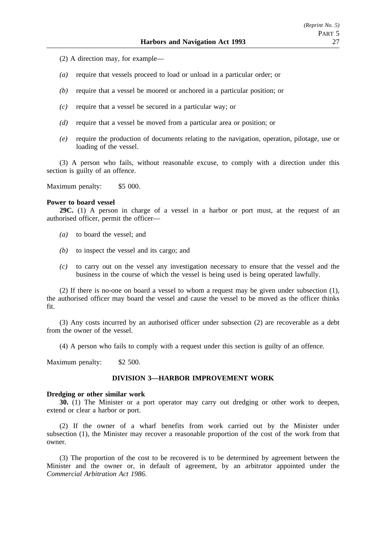- (2) A direction may, for example—
- *(a)* require that vessels proceed to load or unload in a particular order; or
- *(b)* require that a vessel be moored or anchored in a particular position; or
- *(c)* require that a vessel be secured in a particular way; or
- *(d)* require that a vessel be moved from a particular area or position; or
- *(e)* require the production of documents relating to the navigation, operation, pilotage, use or loading of the vessel.

(3) A person who fails, without reasonable excuse, to comply with a direction under this section is guilty of an offence.

Maximum penalty: \$5 000.

#### **Power to board vessel**

**29C.** (1) A person in charge of a vessel in a harbor or port must, at the request of an authorised officer, permit the officer—

- *(a)* to board the vessel; and
- *(b)* to inspect the vessel and its cargo; and
- *(c)* to carry out on the vessel any investigation necessary to ensure that the vessel and the business in the course of which the vessel is being used is being operated lawfully.

(2) If there is no-one on board a vessel to whom a request may be given under subsection (1), the authorised officer may board the vessel and cause the vessel to be moved as the officer thinks fit.

(3) Any costs incurred by an authorised officer under subsection (2) are recoverable as a debt from the owner of the vessel.

(4) A person who fails to comply with a request under this section is guilty of an offence.

Maximum penalty: \$2 500.

#### **DIVISION 3—HARBOR IMPROVEMENT WORK**

### **Dredging or other similar work**

**30.** (1) The Minister or a port operator may carry out dredging or other work to deepen, extend or clear a harbor or port.

(2) If the owner of a wharf benefits from work carried out by the Minister under subsection (1), the Minister may recover a reasonable proportion of the cost of the work from that owner.

(3) The proportion of the cost to be recovered is to be determined by agreement between the Minister and the owner or, in default of agreement, by an arbitrator appointed under the *Commercial Arbitration Act 1986*.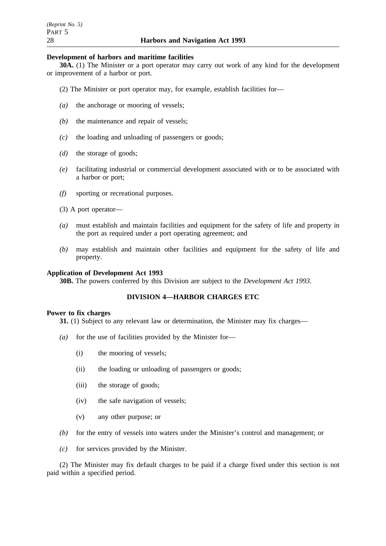### **Development of harbors and maritime facilities**

**30A.** (1) The Minister or a port operator may carry out work of any kind for the development or improvement of a harbor or port.

- (2) The Minister or port operator may, for example, establish facilities for—
- *(a)* the anchorage or mooring of vessels;
- *(b)* the maintenance and repair of vessels;
- *(c)* the loading and unloading of passengers or goods;
- *(d)* the storage of goods;
- *(e)* facilitating industrial or commercial development associated with or to be associated with a harbor or port;
- *(f)* sporting or recreational purposes.
- (3) A port operator—
- *(a)* must establish and maintain facilities and equipment for the safety of life and property in the port as required under a port operating agreement; and
- *(b)* may establish and maintain other facilities and equipment for the safety of life and property.

### **Application of Development Act 1993**

**30B.** The powers conferred by this Division are subject to the *Development Act 1993*.

### **DIVISION 4—HARBOR CHARGES ETC**

#### **Power to fix charges**

**31.** (1) Subject to any relevant law or determination, the Minister may fix charges—

- *(a)* for the use of facilities provided by the Minister for—
	- (i) the mooring of vessels;
	- (ii) the loading or unloading of passengers or goods;
	- (iii) the storage of goods;
	- (iv) the safe navigation of vessels;
	- (v) any other purpose; or
- *(b)* for the entry of vessels into waters under the Minister's control and management; or
- *(c)* for services provided by the Minister.

(2) The Minister may fix default charges to be paid if a charge fixed under this section is not paid within a specified period.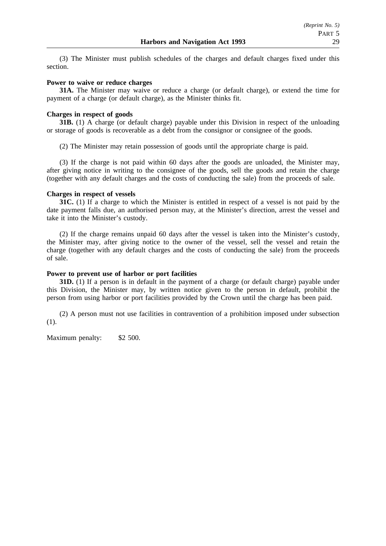(3) The Minister must publish schedules of the charges and default charges fixed under this section.

### **Power to waive or reduce charges**

**31A.** The Minister may waive or reduce a charge (or default charge), or extend the time for payment of a charge (or default charge), as the Minister thinks fit.

### **Charges in respect of goods**

**31B.** (1) A charge (or default charge) payable under this Division in respect of the unloading or storage of goods is recoverable as a debt from the consignor or consignee of the goods.

(2) The Minister may retain possession of goods until the appropriate charge is paid.

(3) If the charge is not paid within 60 days after the goods are unloaded, the Minister may, after giving notice in writing to the consignee of the goods, sell the goods and retain the charge (together with any default charges and the costs of conducting the sale) from the proceeds of sale.

### **Charges in respect of vessels**

**31C.** (1) If a charge to which the Minister is entitled in respect of a vessel is not paid by the date payment falls due, an authorised person may, at the Minister's direction, arrest the vessel and take it into the Minister's custody.

(2) If the charge remains unpaid 60 days after the vessel is taken into the Minister's custody, the Minister may, after giving notice to the owner of the vessel, sell the vessel and retain the charge (together with any default charges and the costs of conducting the sale) from the proceeds of sale.

#### **Power to prevent use of harbor or port facilities**

**31D.** (1) If a person is in default in the payment of a charge (or default charge) payable under this Division, the Minister may, by written notice given to the person in default, prohibit the person from using harbor or port facilities provided by the Crown until the charge has been paid.

(2) A person must not use facilities in contravention of a prohibition imposed under subsection (1).

Maximum penalty: \$2 500.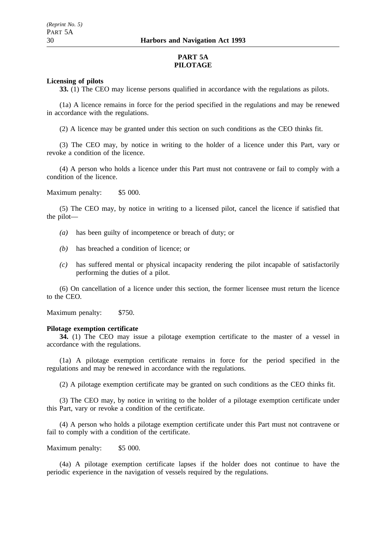# **PART 5A PILOTAGE**

## **Licensing of pilots**

**33.** (1) The CEO may license persons qualified in accordance with the regulations as pilots.

(1a) A licence remains in force for the period specified in the regulations and may be renewed in accordance with the regulations.

(2) A licence may be granted under this section on such conditions as the CEO thinks fit.

(3) The CEO may, by notice in writing to the holder of a licence under this Part, vary or revoke a condition of the licence.

(4) A person who holds a licence under this Part must not contravene or fail to comply with a condition of the licence.

Maximum penalty: \$5 000.

(5) The CEO may, by notice in writing to a licensed pilot, cancel the licence if satisfied that the pilot—

- *(a)* has been guilty of incompetence or breach of duty; or
- *(b)* has breached a condition of licence; or
- *(c)* has suffered mental or physical incapacity rendering the pilot incapable of satisfactorily performing the duties of a pilot.

(6) On cancellation of a licence under this section, the former licensee must return the licence to the CEO.

Maximum penalty: \$750.

#### **Pilotage exemption certificate**

**34.** (1) The CEO may issue a pilotage exemption certificate to the master of a vessel in accordance with the regulations.

(1a) A pilotage exemption certificate remains in force for the period specified in the regulations and may be renewed in accordance with the regulations.

(2) A pilotage exemption certificate may be granted on such conditions as the CEO thinks fit.

(3) The CEO may, by notice in writing to the holder of a pilotage exemption certificate under this Part, vary or revoke a condition of the certificate.

(4) A person who holds a pilotage exemption certificate under this Part must not contravene or fail to comply with a condition of the certificate.

Maximum penalty: \$5 000.

(4a) A pilotage exemption certificate lapses if the holder does not continue to have the periodic experience in the navigation of vessels required by the regulations.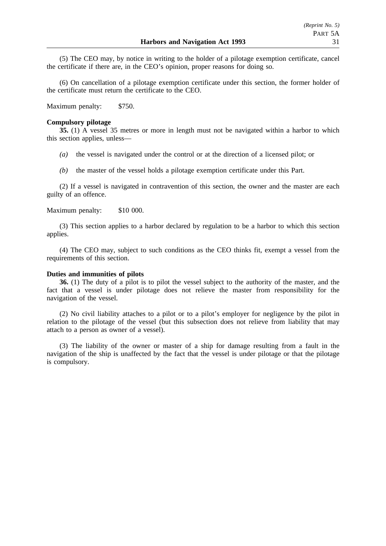(5) The CEO may, by notice in writing to the holder of a pilotage exemption certificate, cancel the certificate if there are, in the CEO's opinion, proper reasons for doing so.

(6) On cancellation of a pilotage exemption certificate under this section, the former holder of the certificate must return the certificate to the CEO.

Maximum penalty: \$750.

### **Compulsory pilotage**

**35.** (1) A vessel 35 metres or more in length must not be navigated within a harbor to which this section applies, unless—

- *(a)* the vessel is navigated under the control or at the direction of a licensed pilot; or
- *(b)* the master of the vessel holds a pilotage exemption certificate under this Part.

(2) If a vessel is navigated in contravention of this section, the owner and the master are each guilty of an offence.

## Maximum penalty: \$10 000.

(3) This section applies to a harbor declared by regulation to be a harbor to which this section applies.

(4) The CEO may, subject to such conditions as the CEO thinks fit, exempt a vessel from the requirements of this section.

#### **Duties and immunities of pilots**

**36.** (1) The duty of a pilot is to pilot the vessel subject to the authority of the master, and the fact that a vessel is under pilotage does not relieve the master from responsibility for the navigation of the vessel.

(2) No civil liability attaches to a pilot or to a pilot's employer for negligence by the pilot in relation to the pilotage of the vessel (but this subsection does not relieve from liability that may attach to a person as owner of a vessel).

(3) The liability of the owner or master of a ship for damage resulting from a fault in the navigation of the ship is unaffected by the fact that the vessel is under pilotage or that the pilotage is compulsory.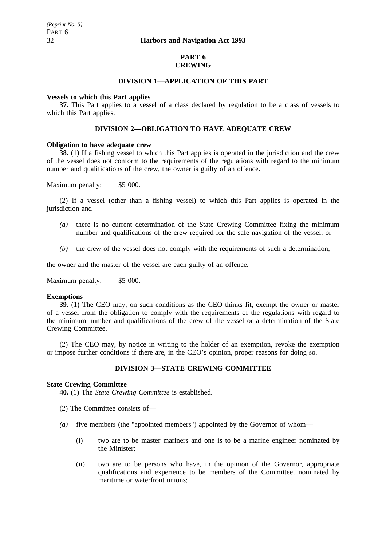### **PART 6 CREWING**

## **DIVISION 1—APPLICATION OF THIS PART**

### **Vessels to which this Part applies**

**37.** This Part applies to a vessel of a class declared by regulation to be a class of vessels to which this Part applies.

### **DIVISION 2—OBLIGATION TO HAVE ADEQUATE CREW**

### **Obligation to have adequate crew**

**38.** (1) If a fishing vessel to which this Part applies is operated in the jurisdiction and the crew of the vessel does not conform to the requirements of the regulations with regard to the minimum number and qualifications of the crew, the owner is guilty of an offence.

Maximum penalty: \$5 000.

(2) If a vessel (other than a fishing vessel) to which this Part applies is operated in the jurisdiction and—

- *(a)* there is no current determination of the State Crewing Committee fixing the minimum number and qualifications of the crew required for the safe navigation of the vessel; or
- *(b)* the crew of the vessel does not comply with the requirements of such a determination,

the owner and the master of the vessel are each guilty of an offence.

Maximum penalty: \$5 000.

#### **Exemptions**

**39.** (1) The CEO may, on such conditions as the CEO thinks fit, exempt the owner or master of a vessel from the obligation to comply with the requirements of the regulations with regard to the minimum number and qualifications of the crew of the vessel or a determination of the State Crewing Committee.

(2) The CEO may, by notice in writing to the holder of an exemption, revoke the exemption or impose further conditions if there are, in the CEO's opinion, proper reasons for doing so.

# **DIVISION 3—STATE CREWING COMMITTEE**

### **State Crewing Committee**

**40.** (1) The *State Crewing Committee* is established.

- (2) The Committee consists of—
- *(a)* five members (the "appointed members") appointed by the Governor of whom—
	- (i) two are to be master mariners and one is to be a marine engineer nominated by the Minister;
	- (ii) two are to be persons who have, in the opinion of the Governor, appropriate qualifications and experience to be members of the Committee, nominated by maritime or waterfront unions: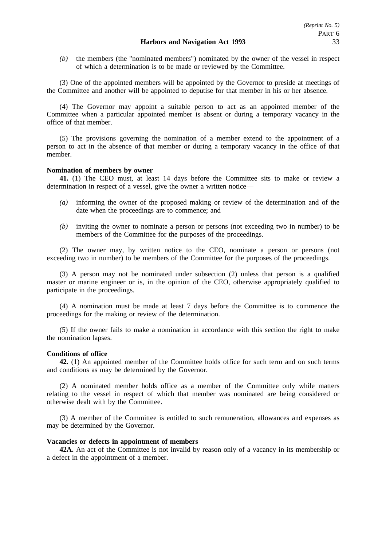*(b)* the members (the "nominated members") nominated by the owner of the vessel in respect of which a determination is to be made or reviewed by the Committee.

(3) One of the appointed members will be appointed by the Governor to preside at meetings of the Committee and another will be appointed to deputise for that member in his or her absence.

(4) The Governor may appoint a suitable person to act as an appointed member of the Committee when a particular appointed member is absent or during a temporary vacancy in the office of that member.

(5) The provisions governing the nomination of a member extend to the appointment of a person to act in the absence of that member or during a temporary vacancy in the office of that member.

### **Nomination of members by owner**

**41.** (1) The CEO must, at least 14 days before the Committee sits to make or review a determination in respect of a vessel, give the owner a written notice—

- *(a)* informing the owner of the proposed making or review of the determination and of the date when the proceedings are to commence; and
- *(b)* inviting the owner to nominate a person or persons (not exceeding two in number) to be members of the Committee for the purposes of the proceedings.

(2) The owner may, by written notice to the CEO, nominate a person or persons (not exceeding two in number) to be members of the Committee for the purposes of the proceedings.

(3) A person may not be nominated under subsection (2) unless that person is a qualified master or marine engineer or is, in the opinion of the CEO, otherwise appropriately qualified to participate in the proceedings.

(4) A nomination must be made at least 7 days before the Committee is to commence the proceedings for the making or review of the determination.

(5) If the owner fails to make a nomination in accordance with this section the right to make the nomination lapses.

### **Conditions of office**

**42.** (1) An appointed member of the Committee holds office for such term and on such terms and conditions as may be determined by the Governor.

(2) A nominated member holds office as a member of the Committee only while matters relating to the vessel in respect of which that member was nominated are being considered or otherwise dealt with by the Committee.

(3) A member of the Committee is entitled to such remuneration, allowances and expenses as may be determined by the Governor.

### **Vacancies or defects in appointment of members**

**42A.** An act of the Committee is not invalid by reason only of a vacancy in its membership or a defect in the appointment of a member.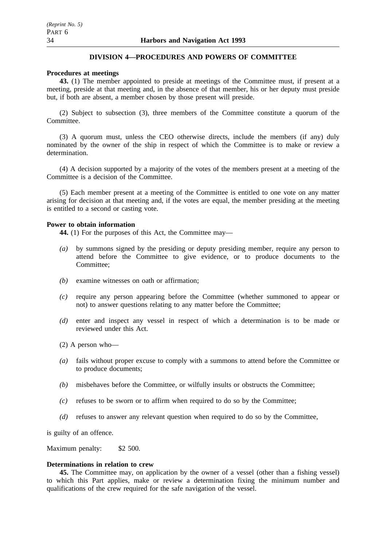# **DIVISION 4—PROCEDURES AND POWERS OF COMMITTEE**

## **Procedures at meetings**

**43.** (1) The member appointed to preside at meetings of the Committee must, if present at a meeting, preside at that meeting and, in the absence of that member, his or her deputy must preside but, if both are absent, a member chosen by those present will preside.

(2) Subject to subsection (3), three members of the Committee constitute a quorum of the Committee.

(3) A quorum must, unless the CEO otherwise directs, include the members (if any) duly nominated by the owner of the ship in respect of which the Committee is to make or review a determination.

(4) A decision supported by a majority of the votes of the members present at a meeting of the Committee is a decision of the Committee.

(5) Each member present at a meeting of the Committee is entitled to one vote on any matter arising for decision at that meeting and, if the votes are equal, the member presiding at the meeting is entitled to a second or casting vote.

## **Power to obtain information**

**44.** (1) For the purposes of this Act, the Committee may—

- *(a)* by summons signed by the presiding or deputy presiding member, require any person to attend before the Committee to give evidence, or to produce documents to the Committee;
- *(b)* examine witnesses on oath or affirmation;
- *(c)* require any person appearing before the Committee (whether summoned to appear or not) to answer questions relating to any matter before the Committee;
- *(d)* enter and inspect any vessel in respect of which a determination is to be made or reviewed under this Act.
- (2) A person who—
- *(a)* fails without proper excuse to comply with a summons to attend before the Committee or to produce documents;
- *(b)* misbehaves before the Committee, or wilfully insults or obstructs the Committee;
- *(c)* refuses to be sworn or to affirm when required to do so by the Committee;
- *(d)* refuses to answer any relevant question when required to do so by the Committee,

is guilty of an offence.

Maximum penalty: \$2 500.

## **Determinations in relation to crew**

**45.** The Committee may, on application by the owner of a vessel (other than a fishing vessel) to which this Part applies, make or review a determination fixing the minimum number and qualifications of the crew required for the safe navigation of the vessel.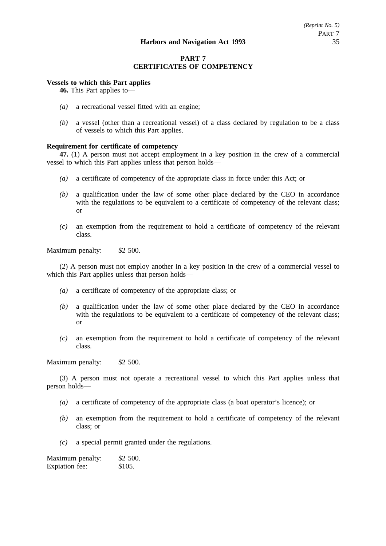# **PART 7 CERTIFICATES OF COMPETENCY**

### **Vessels to which this Part applies**

**46.** This Part applies to—

- *(a)* a recreational vessel fitted with an engine;
- *(b)* a vessel (other than a recreational vessel) of a class declared by regulation to be a class of vessels to which this Part applies.

### **Requirement for certificate of competency**

**47.** (1) A person must not accept employment in a key position in the crew of a commercial vessel to which this Part applies unless that person holds—

- *(a)* a certificate of competency of the appropriate class in force under this Act; or
- *(b)* a qualification under the law of some other place declared by the CEO in accordance with the regulations to be equivalent to a certificate of competency of the relevant class; or
- *(c)* an exemption from the requirement to hold a certificate of competency of the relevant class.

Maximum penalty: \$2 500.

(2) A person must not employ another in a key position in the crew of a commercial vessel to which this Part applies unless that person holds—

- *(a)* a certificate of competency of the appropriate class; or
- *(b)* a qualification under the law of some other place declared by the CEO in accordance with the regulations to be equivalent to a certificate of competency of the relevant class; or
- *(c)* an exemption from the requirement to hold a certificate of competency of the relevant class.

Maximum penalty: \$2 500.

(3) A person must not operate a recreational vessel to which this Part applies unless that person holds—

- *(a)* a certificate of competency of the appropriate class (a boat operator's licence); or
- *(b)* an exemption from the requirement to hold a certificate of competency of the relevant class; or
- *(c)* a special permit granted under the regulations.

Maximum penalty: \$2 500. Expiation fee: \$105.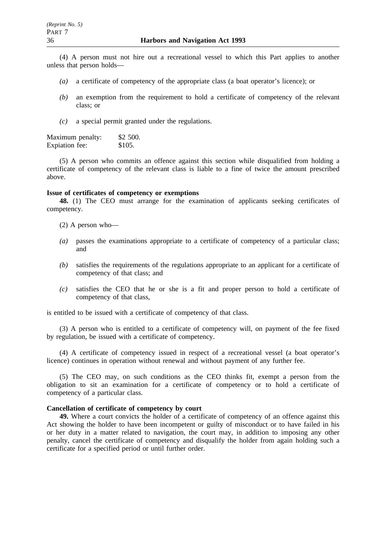(4) A person must not hire out a recreational vessel to which this Part applies to another unless that person holds—

- *(a)* a certificate of competency of the appropriate class (a boat operator's licence); or
- *(b)* an exemption from the requirement to hold a certificate of competency of the relevant class; or
- *(c)* a special permit granted under the regulations.

Maximum penalty: \$2 500.<br>Expiation fee: \$105. Expiation fee:

(5) A person who commits an offence against this section while disqualified from holding a certificate of competency of the relevant class is liable to a fine of twice the amount prescribed above.

#### **Issue of certificates of competency or exemptions**

**48.** (1) The CEO must arrange for the examination of applicants seeking certificates of competency.

- (2) A person who—
- *(a)* passes the examinations appropriate to a certificate of competency of a particular class; and
- *(b)* satisfies the requirements of the regulations appropriate to an applicant for a certificate of competency of that class; and
- *(c)* satisfies the CEO that he or she is a fit and proper person to hold a certificate of competency of that class,

is entitled to be issued with a certificate of competency of that class.

(3) A person who is entitled to a certificate of competency will, on payment of the fee fixed by regulation, be issued with a certificate of competency.

(4) A certificate of competency issued in respect of a recreational vessel (a boat operator's licence) continues in operation without renewal and without payment of any further fee.

(5) The CEO may, on such conditions as the CEO thinks fit, exempt a person from the obligation to sit an examination for a certificate of competency or to hold a certificate of competency of a particular class.

# **Cancellation of certificate of competency by court**

**49.** Where a court convicts the holder of a certificate of competency of an offence against this Act showing the holder to have been incompetent or guilty of misconduct or to have failed in his or her duty in a matter related to navigation, the court may, in addition to imposing any other penalty, cancel the certificate of competency and disqualify the holder from again holding such a certificate for a specified period or until further order.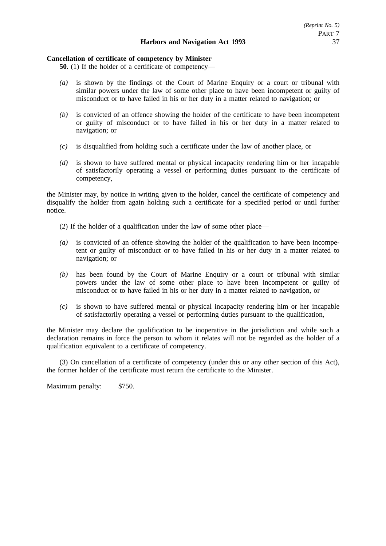### **Cancellation of certificate of competency by Minister**

**50.** (1) If the holder of a certificate of competency—

- *(a)* is shown by the findings of the Court of Marine Enquiry or a court or tribunal with similar powers under the law of some other place to have been incompetent or guilty of misconduct or to have failed in his or her duty in a matter related to navigation; or
- *(b)* is convicted of an offence showing the holder of the certificate to have been incompetent or guilty of misconduct or to have failed in his or her duty in a matter related to navigation; or
- *(c)* is disqualified from holding such a certificate under the law of another place, or
- *(d)* is shown to have suffered mental or physical incapacity rendering him or her incapable of satisfactorily operating a vessel or performing duties pursuant to the certificate of competency,

the Minister may, by notice in writing given to the holder, cancel the certificate of competency and disqualify the holder from again holding such a certificate for a specified period or until further notice.

- (2) If the holder of a qualification under the law of some other place—
- *(a)* is convicted of an offence showing the holder of the qualification to have been incompetent or guilty of misconduct or to have failed in his or her duty in a matter related to navigation; or
- *(b)* has been found by the Court of Marine Enquiry or a court or tribunal with similar powers under the law of some other place to have been incompetent or guilty of misconduct or to have failed in his or her duty in a matter related to navigation, or
- *(c)* is shown to have suffered mental or physical incapacity rendering him or her incapable of satisfactorily operating a vessel or performing duties pursuant to the qualification,

the Minister may declare the qualification to be inoperative in the jurisdiction and while such a declaration remains in force the person to whom it relates will not be regarded as the holder of a qualification equivalent to a certificate of competency.

(3) On cancellation of a certificate of competency (under this or any other section of this Act), the former holder of the certificate must return the certificate to the Minister.

Maximum penalty: \$750.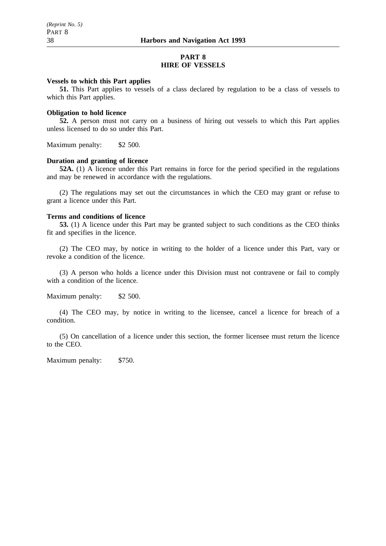### **PART 8 HIRE OF VESSELS**

### **Vessels to which this Part applies**

**51.** This Part applies to vessels of a class declared by regulation to be a class of vessels to which this Part applies.

#### **Obligation to hold licence**

**52.** A person must not carry on a business of hiring out vessels to which this Part applies unless licensed to do so under this Part.

Maximum penalty: \$2 500.

### **Duration and granting of licence**

**52A.** (1) A licence under this Part remains in force for the period specified in the regulations and may be renewed in accordance with the regulations.

(2) The regulations may set out the circumstances in which the CEO may grant or refuse to grant a licence under this Part.

### **Terms and conditions of licence**

**53.** (1) A licence under this Part may be granted subject to such conditions as the CEO thinks fit and specifies in the licence.

(2) The CEO may, by notice in writing to the holder of a licence under this Part, vary or revoke a condition of the licence.

(3) A person who holds a licence under this Division must not contravene or fail to comply with a condition of the licence.

Maximum penalty: \$2 500.

(4) The CEO may, by notice in writing to the licensee, cancel a licence for breach of a condition.

(5) On cancellation of a licence under this section, the former licensee must return the licence to the CEO.

Maximum penalty: \$750.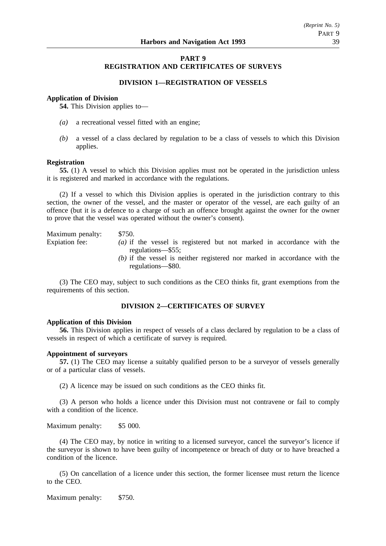# **PART 9 REGISTRATION AND CERTIFICATES OF SURVEYS**

### **DIVISION 1—REGISTRATION OF VESSELS**

### **Application of Division**

**54.** This Division applies to—

- *(a)* a recreational vessel fitted with an engine;
- *(b)* a vessel of a class declared by regulation to be a class of vessels to which this Division applies.

#### **Registration**

**55.** (1) A vessel to which this Division applies must not be operated in the jurisdiction unless it is registered and marked in accordance with the regulations.

(2) If a vessel to which this Division applies is operated in the jurisdiction contrary to this section, the owner of the vessel, and the master or operator of the vessel, are each guilty of an offence (but it is a defence to a charge of such an offence brought against the owner for the owner to prove that the vessel was operated without the owner's consent).

Maximum penalty: \$750. Expiation fee: *(a)* if the vessel is registered but not marked in accordance with the regulations—\$55; *(b)* if the vessel is neither registered nor marked in accordance with the regulations—\$80.

(3) The CEO may, subject to such conditions as the CEO thinks fit, grant exemptions from the requirements of this section.

# **DIVISION 2—CERTIFICATES OF SURVEY**

### **Application of this Division**

**56.** This Division applies in respect of vessels of a class declared by regulation to be a class of vessels in respect of which a certificate of survey is required.

### **Appointment of surveyors**

**57.** (1) The CEO may license a suitably qualified person to be a surveyor of vessels generally or of a particular class of vessels.

(2) A licence may be issued on such conditions as the CEO thinks fit.

(3) A person who holds a licence under this Division must not contravene or fail to comply with a condition of the licence.

Maximum penalty: \$5 000.

(4) The CEO may, by notice in writing to a licensed surveyor, cancel the surveyor's licence if the surveyor is shown to have been guilty of incompetence or breach of duty or to have breached a condition of the licence.

(5) On cancellation of a licence under this section, the former licensee must return the licence to the CEO.

Maximum penalty: \$750.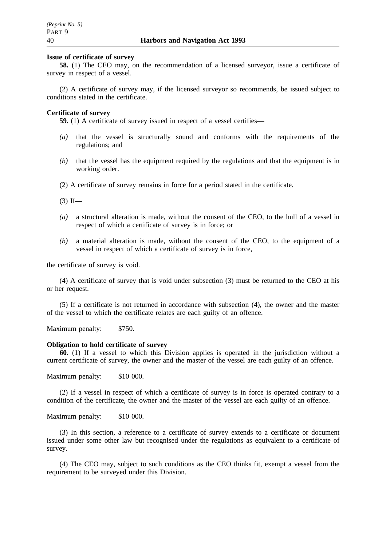### **Issue of certificate of survey**

**58.** (1) The CEO may, on the recommendation of a licensed surveyor, issue a certificate of survey in respect of a vessel.

(2) A certificate of survey may, if the licensed surveyor so recommends, be issued subject to conditions stated in the certificate.

### **Certificate of survey**

**59.** (1) A certificate of survey issued in respect of a vessel certifies—

- *(a)* that the vessel is structurally sound and conforms with the requirements of the regulations; and
- *(b)* that the vessel has the equipment required by the regulations and that the equipment is in working order.
- (2) A certificate of survey remains in force for a period stated in the certificate.

 $(3)$  If—

- *(a)* a structural alteration is made, without the consent of the CEO, to the hull of a vessel in respect of which a certificate of survey is in force; or
- *(b)* a material alteration is made, without the consent of the CEO, to the equipment of a vessel in respect of which a certificate of survey is in force,

the certificate of survey is void.

(4) A certificate of survey that is void under subsection (3) must be returned to the CEO at his or her request.

(5) If a certificate is not returned in accordance with subsection (4), the owner and the master of the vessel to which the certificate relates are each guilty of an offence.

Maximum penalty: \$750.

### **Obligation to hold certificate of survey**

**60.** (1) If a vessel to which this Division applies is operated in the jurisdiction without a current certificate of survey, the owner and the master of the vessel are each guilty of an offence.

Maximum penalty: \$10 000.

(2) If a vessel in respect of which a certificate of survey is in force is operated contrary to a condition of the certificate, the owner and the master of the vessel are each guilty of an offence.

Maximum penalty: \$10 000.

(3) In this section, a reference to a certificate of survey extends to a certificate or document issued under some other law but recognised under the regulations as equivalent to a certificate of survey.

(4) The CEO may, subject to such conditions as the CEO thinks fit, exempt a vessel from the requirement to be surveyed under this Division.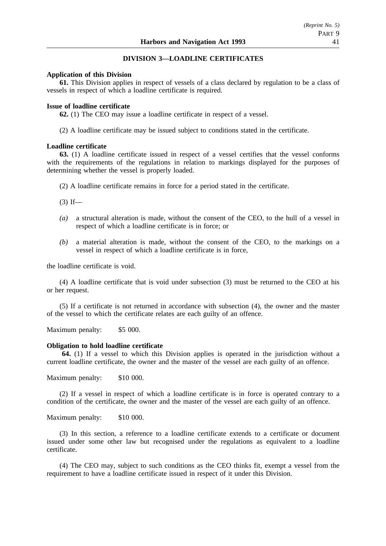### **DIVISION 3—LOADLINE CERTIFICATES**

#### **Application of this Division**

**61.** This Division applies in respect of vessels of a class declared by regulation to be a class of vessels in respect of which a loadline certificate is required.

#### **Issue of loadline certificate**

**62.** (1) The CEO may issue a loadline certificate in respect of a vessel.

(2) A loadline certificate may be issued subject to conditions stated in the certificate.

#### **Loadline certificate**

**63.** (1) A loadline certificate issued in respect of a vessel certifies that the vessel conforms with the requirements of the regulations in relation to markings displayed for the purposes of determining whether the vessel is properly loaded.

(2) A loadline certificate remains in force for a period stated in the certificate.

 $(3)$  If—

- *(a)* a structural alteration is made, without the consent of the CEO, to the hull of a vessel in respect of which a loadline certificate is in force; or
- *(b)* a material alteration is made, without the consent of the CEO, to the markings on a vessel in respect of which a loadline certificate is in force,

the loadline certificate is void.

(4) A loadline certificate that is void under subsection (3) must be returned to the CEO at his or her request.

(5) If a certificate is not returned in accordance with subsection (4), the owner and the master of the vessel to which the certificate relates are each guilty of an offence.

Maximum penalty: \$5 000.

#### **Obligation to hold loadline certificate**

**64.** (1) If a vessel to which this Division applies is operated in the jurisdiction without a current loadline certificate, the owner and the master of the vessel are each guilty of an offence.

Maximum penalty: \$10 000.

(2) If a vessel in respect of which a loadline certificate is in force is operated contrary to a condition of the certificate, the owner and the master of the vessel are each guilty of an offence.

Maximum penalty: \$10 000.

(3) In this section, a reference to a loadline certificate extends to a certificate or document issued under some other law but recognised under the regulations as equivalent to a loadline certificate.

(4) The CEO may, subject to such conditions as the CEO thinks fit, exempt a vessel from the requirement to have a loadline certificate issued in respect of it under this Division.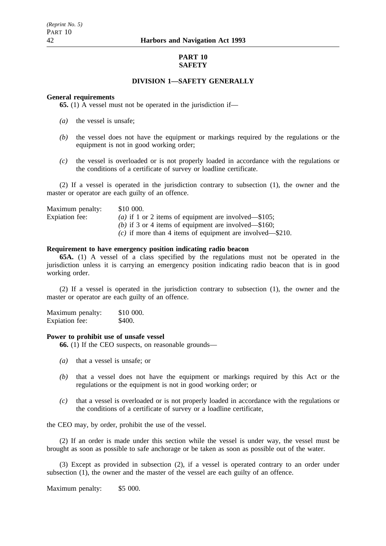# **PART 10 SAFETY**

## **DIVISION 1—SAFETY GENERALLY**

#### **General requirements**

**65.** (1) A vessel must not be operated in the jurisdiction if—

- *(a)* the vessel is unsafe;
- *(b)* the vessel does not have the equipment or markings required by the regulations or the equipment is not in good working order;
- *(c)* the vessel is overloaded or is not properly loaded in accordance with the regulations or the conditions of a certificate of survey or loadline certificate.

(2) If a vessel is operated in the jurisdiction contrary to subsection (1), the owner and the master or operator are each guilty of an offence.

| Maximum penalty: | \$10 000.                                                     |
|------------------|---------------------------------------------------------------|
| Expiation fee:   | ( <i>a</i> ) if 1 or 2 items of equipment are involved—\$105; |
|                  | (b) if 3 or 4 items of equipment are involved—\$160;          |
|                  | (c) if more than 4 items of equipment are involved—\$210.     |

#### **Requirement to have emergency position indicating radio beacon**

**65A.** (1) A vessel of a class specified by the regulations must not be operated in the jurisdiction unless it is carrying an emergency position indicating radio beacon that is in good working order.

(2) If a vessel is operated in the jurisdiction contrary to subsection (1), the owner and the master or operator are each guilty of an offence.

Maximum penalty: \$10 000. Expiation fee: \$400.

### **Power to prohibit use of unsafe vessel**

**66.** (1) If the CEO suspects, on reasonable grounds—

- *(a)* that a vessel is unsafe; or
- *(b)* that a vessel does not have the equipment or markings required by this Act or the regulations or the equipment is not in good working order; or
- *(c)* that a vessel is overloaded or is not properly loaded in accordance with the regulations or the conditions of a certificate of survey or a loadline certificate,

the CEO may, by order, prohibit the use of the vessel.

(2) If an order is made under this section while the vessel is under way, the vessel must be brought as soon as possible to safe anchorage or be taken as soon as possible out of the water.

(3) Except as provided in subsection (2), if a vessel is operated contrary to an order under subsection (1), the owner and the master of the vessel are each guilty of an offence.

Maximum penalty: \$5 000.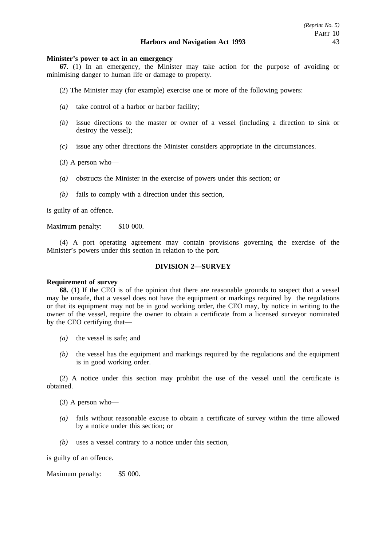### **Minister's power to act in an emergency**

**67.** (1) In an emergency, the Minister may take action for the purpose of avoiding or minimising danger to human life or damage to property.

- (2) The Minister may (for example) exercise one or more of the following powers:
- *(a)* take control of a harbor or harbor facility;
- *(b)* issue directions to the master or owner of a vessel (including a direction to sink or destroy the vessel);
- *(c)* issue any other directions the Minister considers appropriate in the circumstances.
- (3) A person who—
- *(a)* obstructs the Minister in the exercise of powers under this section; or
- *(b)* fails to comply with a direction under this section,

is guilty of an offence.

Maximum penalty: \$10 000.

(4) A port operating agreement may contain provisions governing the exercise of the Minister's powers under this section in relation to the port.

### **DIVISION 2—SURVEY**

#### **Requirement of survey**

**68.** (1) If the CEO is of the opinion that there are reasonable grounds to suspect that a vessel may be unsafe, that a vessel does not have the equipment or markings required by the regulations or that its equipment may not be in good working order, the CEO may, by notice in writing to the owner of the vessel, require the owner to obtain a certificate from a licensed surveyor nominated by the CEO certifying that—

- *(a)* the vessel is safe; and
- *(b)* the vessel has the equipment and markings required by the regulations and the equipment is in good working order.

(2) A notice under this section may prohibit the use of the vessel until the certificate is obtained.

(3) A person who—

- *(a)* fails without reasonable excuse to obtain a certificate of survey within the time allowed by a notice under this section; or
- *(b)* uses a vessel contrary to a notice under this section,

is guilty of an offence.

Maximum penalty: \$5 000.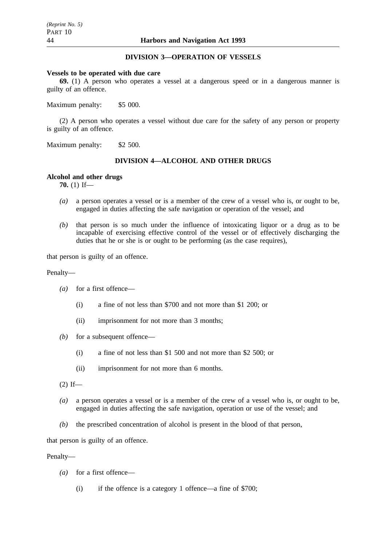# **DIVISION 3—OPERATION OF VESSELS**

#### **Vessels to be operated with due care**

**69.** (1) A person who operates a vessel at a dangerous speed or in a dangerous manner is guilty of an offence.

Maximum penalty: \$5 000.

(2) A person who operates a vessel without due care for the safety of any person or property is guilty of an offence.

Maximum penalty: \$2 500.

# **DIVISION 4—ALCOHOL AND OTHER DRUGS**

### **Alcohol and other drugs**

**70.** (1) If—

- *(a)* a person operates a vessel or is a member of the crew of a vessel who is, or ought to be, engaged in duties affecting the safe navigation or operation of the vessel; and
- *(b)* that person is so much under the influence of intoxicating liquor or a drug as to be incapable of exercising effective control of the vessel or of effectively discharging the duties that he or she is or ought to be performing (as the case requires),

that person is guilty of an offence.

### Penalty—

- *(a)* for a first offence—
	- (i) a fine of not less than \$700 and not more than \$1 200; or
	- (ii) imprisonment for not more than 3 months;
- *(b)* for a subsequent offence—
	- (i) a fine of not less than \$1 500 and not more than \$2 500; or
	- (ii) imprisonment for not more than 6 months.
- $(2)$  If—
- *(a)* a person operates a vessel or is a member of the crew of a vessel who is, or ought to be, engaged in duties affecting the safe navigation, operation or use of the vessel; and
- *(b)* the prescribed concentration of alcohol is present in the blood of that person,

that person is guilty of an offence.

Penalty—

- *(a)* for a first offence—
	- (i) if the offence is a category 1 offence—a fine of \$700;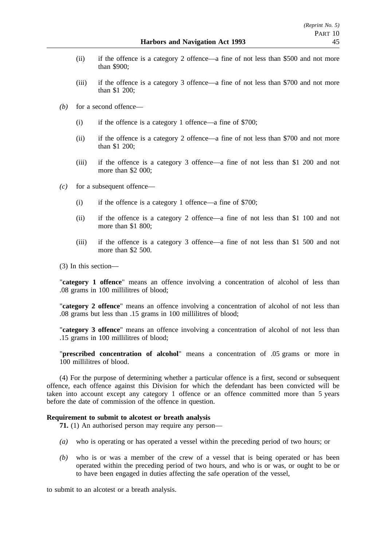- (ii) if the offence is a category 2 offence—a fine of not less than \$500 and not more than \$900;
- (iii) if the offence is a category 3 offence—a fine of not less than \$700 and not more than \$1 200;
- *(b)* for a second offence—
	- (i) if the offence is a category 1 offence—a fine of \$700;
	- (ii) if the offence is a category 2 offence—a fine of not less than \$700 and not more than \$1 200;
	- (iii) if the offence is a category 3 offence—a fine of not less than \$1 200 and not more than \$2 000;
- *(c)* for a subsequent offence—
	- (i) if the offence is a category 1 offence—a fine of \$700;
	- (ii) if the offence is a category 2 offence—a fine of not less than \$1 100 and not more than \$1 800;
	- (iii) if the offence is a category 3 offence—a fine of not less than \$1 500 and not more than \$2,500.

(3) In this section—

"**category 1 offence**" means an offence involving a concentration of alcohol of less than .08 grams in 100 millilitres of blood;

"**category 2 offence**" means an offence involving a concentration of alcohol of not less than .08 grams but less than .15 grams in 100 millilitres of blood;

"**category 3 offence**" means an offence involving a concentration of alcohol of not less than .15 grams in 100 millilitres of blood;

"**prescribed concentration of alcohol**" means a concentration of .05 grams or more in 100 millilitres of blood.

(4) For the purpose of determining whether a particular offence is a first, second or subsequent offence, each offence against this Division for which the defendant has been convicted will be taken into account except any category 1 offence or an offence committed more than 5 years before the date of commission of the offence in question.

### **Requirement to submit to alcotest or breath analysis**

**71.** (1) An authorised person may require any person—

- *(a)* who is operating or has operated a vessel within the preceding period of two hours; or
- *(b)* who is or was a member of the crew of a vessel that is being operated or has been operated within the preceding period of two hours, and who is or was, or ought to be or to have been engaged in duties affecting the safe operation of the vessel,

to submit to an alcotest or a breath analysis.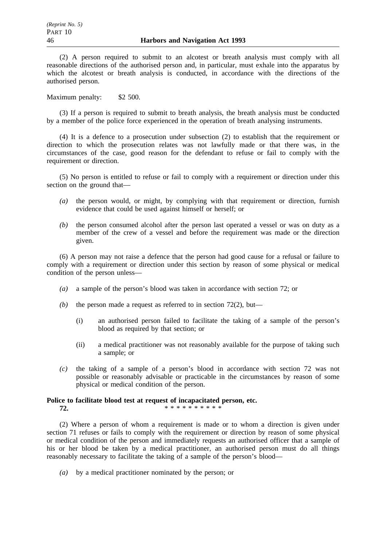(2) A person required to submit to an alcotest or breath analysis must comply with all reasonable directions of the authorised person and, in particular, must exhale into the apparatus by which the alcotest or breath analysis is conducted, in accordance with the directions of the authorised person.

Maximum penalty: \$2 500.

(3) If a person is required to submit to breath analysis, the breath analysis must be conducted by a member of the police force experienced in the operation of breath analysing instruments.

(4) It is a defence to a prosecution under subsection (2) to establish that the requirement or direction to which the prosecution relates was not lawfully made or that there was, in the circumstances of the case, good reason for the defendant to refuse or fail to comply with the requirement or direction.

(5) No person is entitled to refuse or fail to comply with a requirement or direction under this section on the ground that—

- *(a)* the person would, or might, by complying with that requirement or direction, furnish evidence that could be used against himself or herself; or
- *(b)* the person consumed alcohol after the person last operated a vessel or was on duty as a member of the crew of a vessel and before the requirement was made or the direction given.

(6) A person may not raise a defence that the person had good cause for a refusal or failure to comply with a requirement or direction under this section by reason of some physical or medical condition of the person unless—

- *(a)* a sample of the person's blood was taken in accordance with section 72; or
- *(b)* the person made a request as referred to in section 72(2), but—
	- (i) an authorised person failed to facilitate the taking of a sample of the person's blood as required by that section; or
	- (ii) a medical practitioner was not reasonably available for the purpose of taking such a sample; or
- *(c)* the taking of a sample of a person's blood in accordance with section 72 was not possible or reasonably advisable or practicable in the circumstances by reason of some physical or medical condition of the person.

### **Police to facilitate blood test at request of incapacitated person, etc. 72.** \*\*\*\*\*\*\*\*\*\*\*

(2) Where a person of whom a requirement is made or to whom a direction is given under section 71 refuses or fails to comply with the requirement or direction by reason of some physical or medical condition of the person and immediately requests an authorised officer that a sample of his or her blood be taken by a medical practitioner, an authorised person must do all things reasonably necessary to facilitate the taking of a sample of the person's blood—

*(a)* by a medical practitioner nominated by the person; or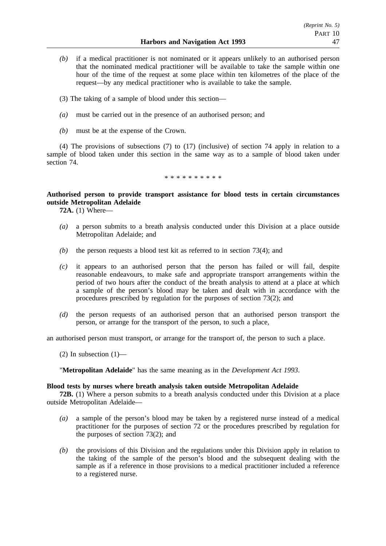- *(b)* if a medical practitioner is not nominated or it appears unlikely to an authorised person that the nominated medical practitioner will be available to take the sample within one hour of the time of the request at some place within ten kilometres of the place of the request—by any medical practitioner who is available to take the sample.
- (3) The taking of a sample of blood under this section—
- *(a)* must be carried out in the presence of an authorised person; and
- *(b)* must be at the expense of the Crown.

(4) The provisions of subsections (7) to (17) (inclusive) of section 74 apply in relation to a sample of blood taken under this section in the same way as to a sample of blood taken under section 74.

\*\*\*\*\*\*\*\*\*\*

# **Authorised person to provide transport assistance for blood tests in certain circumstances outside Metropolitan Adelaide**

**72A.** (1) Where—

- *(a)* a person submits to a breath analysis conducted under this Division at a place outside Metropolitan Adelaide; and
- *(b)* the person requests a blood test kit as referred to in section 73(4); and
- *(c)* it appears to an authorised person that the person has failed or will fail, despite reasonable endeavours, to make safe and appropriate transport arrangements within the period of two hours after the conduct of the breath analysis to attend at a place at which a sample of the person's blood may be taken and dealt with in accordance with the procedures prescribed by regulation for the purposes of section 73(2); and
- *(d)* the person requests of an authorised person that an authorised person transport the person, or arrange for the transport of the person, to such a place,

an authorised person must transport, or arrange for the transport of, the person to such a place.

(2) In subsection  $(1)$ —

"**Metropolitan Adelaide**" has the same meaning as in the *Development Act 1993*.

### **Blood tests by nurses where breath analysis taken outside Metropolitan Adelaide**

**72B.** (1) Where a person submits to a breath analysis conducted under this Division at a place outside Metropolitan Adelaide—

- *(a)* a sample of the person's blood may be taken by a registered nurse instead of a medical practitioner for the purposes of section 72 or the procedures prescribed by regulation for the purposes of section 73(2); and
- *(b)* the provisions of this Division and the regulations under this Division apply in relation to the taking of the sample of the person's blood and the subsequent dealing with the sample as if a reference in those provisions to a medical practitioner included a reference to a registered nurse.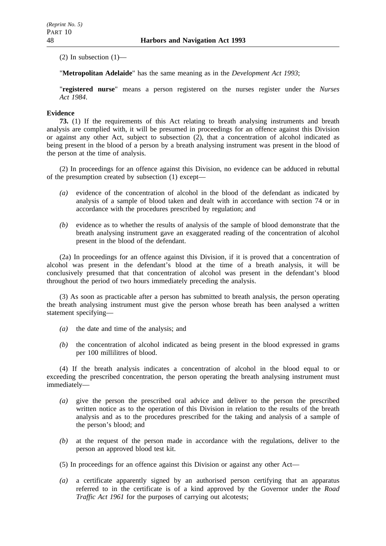$(2)$  In subsection  $(1)$ —

"**Metropolitan Adelaide**" has the same meaning as in the *Development Act 1993*;

"**registered nurse**" means a person registered on the nurses register under the *Nurses Act 1984*.

### **Evidence**

**73.** (1) If the requirements of this Act relating to breath analysing instruments and breath analysis are complied with, it will be presumed in proceedings for an offence against this Division or against any other Act, subject to subsection (2), that a concentration of alcohol indicated as being present in the blood of a person by a breath analysing instrument was present in the blood of the person at the time of analysis.

(2) In proceedings for an offence against this Division, no evidence can be adduced in rebuttal of the presumption created by subsection (1) except—

- *(a)* evidence of the concentration of alcohol in the blood of the defendant as indicated by analysis of a sample of blood taken and dealt with in accordance with section 74 or in accordance with the procedures prescribed by regulation; and
- *(b)* evidence as to whether the results of analysis of the sample of blood demonstrate that the breath analysing instrument gave an exaggerated reading of the concentration of alcohol present in the blood of the defendant.

(2a) In proceedings for an offence against this Division, if it is proved that a concentration of alcohol was present in the defendant's blood at the time of a breath analysis, it will be conclusively presumed that that concentration of alcohol was present in the defendant's blood throughout the period of two hours immediately preceding the analysis.

(3) As soon as practicable after a person has submitted to breath analysis, the person operating the breath analysing instrument must give the person whose breath has been analysed a written statement specifying—

- *(a)* the date and time of the analysis; and
- *(b)* the concentration of alcohol indicated as being present in the blood expressed in grams per 100 millilitres of blood.

(4) If the breath analysis indicates a concentration of alcohol in the blood equal to or exceeding the prescribed concentration, the person operating the breath analysing instrument must immediately—

- *(a)* give the person the prescribed oral advice and deliver to the person the prescribed written notice as to the operation of this Division in relation to the results of the breath analysis and as to the procedures prescribed for the taking and analysis of a sample of the person's blood; and
- *(b)* at the request of the person made in accordance with the regulations, deliver to the person an approved blood test kit.
- (5) In proceedings for an offence against this Division or against any other Act—
- *(a)* a certificate apparently signed by an authorised person certifying that an apparatus referred to in the certificate is of a kind approved by the Governor under the *Road Traffic Act 1961* for the purposes of carrying out alcotests;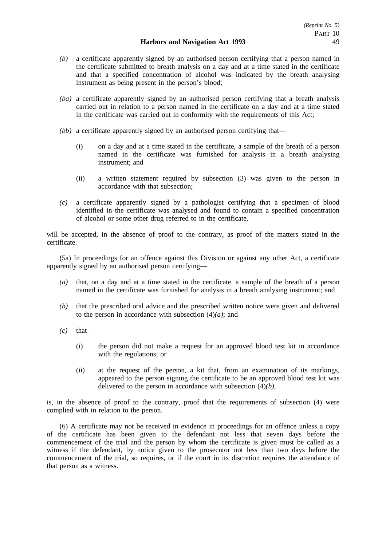- *(b)* a certificate apparently signed by an authorised person certifying that a person named in the certificate submitted to breath analysis on a day and at a time stated in the certificate and that a specified concentration of alcohol was indicated by the breath analysing instrument as being present in the person's blood;
- *(ba)* a certificate apparently signed by an authorised person certifying that a breath analysis carried out in relation to a person named in the certificate on a day and at a time stated in the certificate was carried out in conformity with the requirements of this Act;
- *(bb)* a certificate apparently signed by an authorised person certifying that—
	- (i) on a day and at a time stated in the certificate, a sample of the breath of a person named in the certificate was furnished for analysis in a breath analysing instrument; and
	- (ii) a written statement required by subsection (3) was given to the person in accordance with that subsection;
- *(c)* a certificate apparently signed by a pathologist certifying that a specimen of blood identified in the certificate was analysed and found to contain a specified concentration of alcohol or some other drug referred to in the certificate,

will be accepted, in the absence of proof to the contrary, as proof of the matters stated in the certificate.

(5a) In proceedings for an offence against this Division or against any other Act, a certificate apparently signed by an authorised person certifying—

- *(a)* that, on a day and at a time stated in the certificate, a sample of the breath of a person named in the certificate was furnished for analysis in a breath analysing instrument; and
- *(b)* that the prescribed oral advice and the prescribed written notice were given and delivered to the person in accordance with subsection  $(4)(a)$ ; and
- $(c)$  that—
	- (i) the person did not make a request for an approved blood test kit in accordance with the regulations; or
	- (ii) at the request of the person, a kit that, from an examination of its markings, appeared to the person signing the certificate to be an approved blood test kit was delivered to the person in accordance with subsection (4)*(b)*,

is, in the absence of proof to the contrary, proof that the requirements of subsection (4) were complied with in relation to the person.

(6) A certificate may not be received in evidence in proceedings for an offence unless a copy of the certificate has been given to the defendant not less that seven days before the commencement of the trial and the person by whom the certificate is given must be called as a witness if the defendant, by notice given to the prosecutor not less than two days before the commencement of the trial, so requires, or if the court in its discretion requires the attendance of that person as a witness.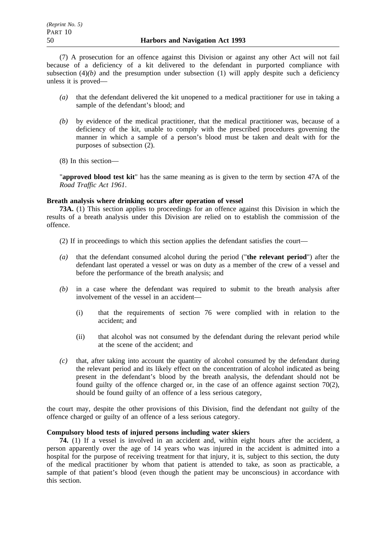(7) A prosecution for an offence against this Division or against any other Act will not fail because of a deficiency of a kit delivered to the defendant in purported compliance with subsection  $(4)(b)$  and the presumption under subsection  $(1)$  will apply despite such a deficiency unless it is proved—

- *(a)* that the defendant delivered the kit unopened to a medical practitioner for use in taking a sample of the defendant's blood; and
- *(b)* by evidence of the medical practitioner, that the medical practitioner was, because of a deficiency of the kit, unable to comply with the prescribed procedures governing the manner in which a sample of a person's blood must be taken and dealt with for the purposes of subsection (2).
- (8) In this section—

"**approved blood test kit**" has the same meaning as is given to the term by section 47A of the *Road Traffic Act 1961*.

### **Breath analysis where drinking occurs after operation of vessel**

**73A.** (1) This section applies to proceedings for an offence against this Division in which the results of a breath analysis under this Division are relied on to establish the commission of the offence.

- (2) If in proceedings to which this section applies the defendant satisfies the court—
- *(a)* that the defendant consumed alcohol during the period ("**the relevant period**") after the defendant last operated a vessel or was on duty as a member of the crew of a vessel and before the performance of the breath analysis; and
- *(b)* in a case where the defendant was required to submit to the breath analysis after involvement of the vessel in an accident—
	- (i) that the requirements of section 76 were complied with in relation to the accident; and
	- (ii) that alcohol was not consumed by the defendant during the relevant period while at the scene of the accident; and
- *(c)* that, after taking into account the quantity of alcohol consumed by the defendant during the relevant period and its likely effect on the concentration of alcohol indicated as being present in the defendant's blood by the breath analysis, the defendant should not be found guilty of the offence charged or, in the case of an offence against section  $70(2)$ , should be found guilty of an offence of a less serious category,

the court may, despite the other provisions of this Division, find the defendant not guilty of the offence charged or guilty of an offence of a less serious category.

# **Compulsory blood tests of injured persons including water skiers**

**74.** (1) If a vessel is involved in an accident and, within eight hours after the accident, a person apparently over the age of 14 years who was injured in the accident is admitted into a hospital for the purpose of receiving treatment for that injury, it is, subject to this section, the duty of the medical practitioner by whom that patient is attended to take, as soon as practicable, a sample of that patient's blood (even though the patient may be unconscious) in accordance with this section.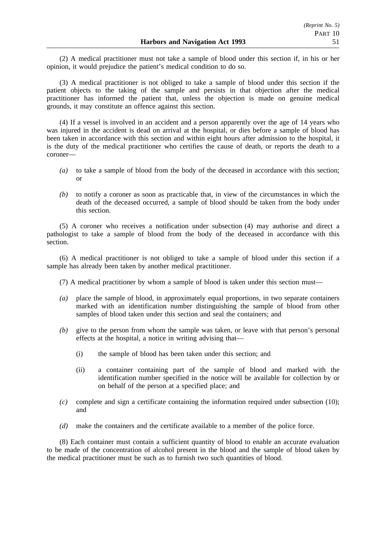(2) A medical practitioner must not take a sample of blood under this section if, in his or her opinion, it would prejudice the patient's medical condition to do so.

(3) A medical practitioner is not obliged to take a sample of blood under this section if the patient objects to the taking of the sample and persists in that objection after the medical practitioner has informed the patient that, unless the objection is made on genuine medical grounds, it may constitute an offence against this section.

(4) If a vessel is involved in an accident and a person apparently over the age of 14 years who was injured in the accident is dead on arrival at the hospital, or dies before a sample of blood has been taken in accordance with this section and within eight hours after admission to the hospital, it is the duty of the medical practitioner who certifies the cause of death, or reports the death to a coroner—

- *(a)* to take a sample of blood from the body of the deceased in accordance with this section; or
- *(b)* to notify a coroner as soon as practicable that, in view of the circumstances in which the death of the deceased occurred, a sample of blood should be taken from the body under this section.

(5) A coroner who receives a notification under subsection (4) may authorise and direct a pathologist to take a sample of blood from the body of the deceased in accordance with this section.

(6) A medical practitioner is not obliged to take a sample of blood under this section if a sample has already been taken by another medical practitioner.

(7) A medical practitioner by whom a sample of blood is taken under this section must—

- *(a)* place the sample of blood, in approximately equal proportions, in two separate containers marked with an identification number distinguishing the sample of blood from other samples of blood taken under this section and seal the containers; and
- *(b)* give to the person from whom the sample was taken, or leave with that person's personal effects at the hospital, a notice in writing advising that—
	- (i) the sample of blood has been taken under this section; and
	- (ii) a container containing part of the sample of blood and marked with the identification number specified in the notice will be available for collection by or on behalf of the person at a specified place; and
- *(c)* complete and sign a certificate containing the information required under subsection (10); and
- *(d)* make the containers and the certificate available to a member of the police force.

(8) Each container must contain a sufficient quantity of blood to enable an accurate evaluation to be made of the concentration of alcohol present in the blood and the sample of blood taken by the medical practitioner must be such as to furnish two such quantities of blood.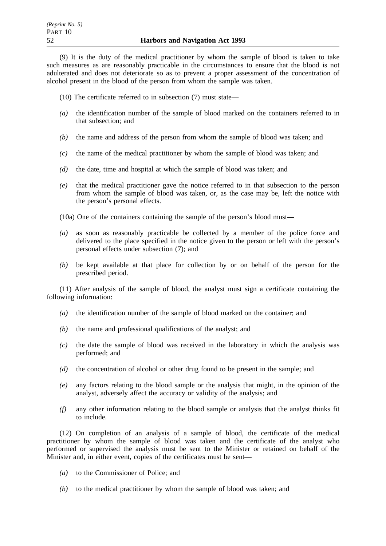(9) It is the duty of the medical practitioner by whom the sample of blood is taken to take such measures as are reasonably practicable in the circumstances to ensure that the blood is not adulterated and does not deteriorate so as to prevent a proper assessment of the concentration of alcohol present in the blood of the person from whom the sample was taken.

- (10) The certificate referred to in subsection (7) must state—
- *(a)* the identification number of the sample of blood marked on the containers referred to in that subsection; and
- *(b)* the name and address of the person from whom the sample of blood was taken; and
- *(c)* the name of the medical practitioner by whom the sample of blood was taken; and
- *(d)* the date, time and hospital at which the sample of blood was taken; and
- *(e)* that the medical practitioner gave the notice referred to in that subsection to the person from whom the sample of blood was taken, or, as the case may be, left the notice with the person's personal effects.

(10a) One of the containers containing the sample of the person's blood must—

- *(a)* as soon as reasonably practicable be collected by a member of the police force and delivered to the place specified in the notice given to the person or left with the person's personal effects under subsection (7); and
- *(b)* be kept available at that place for collection by or on behalf of the person for the prescribed period.

(11) After analysis of the sample of blood, the analyst must sign a certificate containing the following information:

- *(a)* the identification number of the sample of blood marked on the container; and
- *(b)* the name and professional qualifications of the analyst; and
- *(c)* the date the sample of blood was received in the laboratory in which the analysis was performed; and
- *(d)* the concentration of alcohol or other drug found to be present in the sample; and
- *(e)* any factors relating to the blood sample or the analysis that might, in the opinion of the analyst, adversely affect the accuracy or validity of the analysis; and
- *(f)* any other information relating to the blood sample or analysis that the analyst thinks fit to include.

(12) On completion of an analysis of a sample of blood, the certificate of the medical practitioner by whom the sample of blood was taken and the certificate of the analyst who performed or supervised the analysis must be sent to the Minister or retained on behalf of the Minister and, in either event, copies of the certificates must be sent—

- *(a)* to the Commissioner of Police; and
- *(b)* to the medical practitioner by whom the sample of blood was taken; and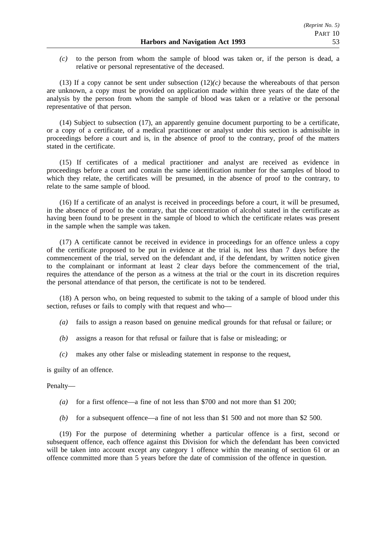*(c)* to the person from whom the sample of blood was taken or, if the person is dead, a relative or personal representative of the deceased.

(13) If a copy cannot be sent under subsection  $(12)(c)$  because the whereabouts of that person are unknown, a copy must be provided on application made within three years of the date of the analysis by the person from whom the sample of blood was taken or a relative or the personal representative of that person.

(14) Subject to subsection (17), an apparently genuine document purporting to be a certificate, or a copy of a certificate, of a medical practitioner or analyst under this section is admissible in proceedings before a court and is, in the absence of proof to the contrary, proof of the matters stated in the certificate.

(15) If certificates of a medical practitioner and analyst are received as evidence in proceedings before a court and contain the same identification number for the samples of blood to which they relate, the certificates will be presumed, in the absence of proof to the contrary, to relate to the same sample of blood.

(16) If a certificate of an analyst is received in proceedings before a court, it will be presumed, in the absence of proof to the contrary, that the concentration of alcohol stated in the certificate as having been found to be present in the sample of blood to which the certificate relates was present in the sample when the sample was taken.

(17) A certificate cannot be received in evidence in proceedings for an offence unless a copy of the certificate proposed to be put in evidence at the trial is, not less than 7 days before the commencement of the trial, served on the defendant and, if the defendant, by written notice given to the complainant or informant at least 2 clear days before the commencement of the trial, requires the attendance of the person as a witness at the trial or the court in its discretion requires the personal attendance of that person, the certificate is not to be tendered.

(18) A person who, on being requested to submit to the taking of a sample of blood under this section, refuses or fails to comply with that request and who—

- *(a)* fails to assign a reason based on genuine medical grounds for that refusal or failure; or
- *(b)* assigns a reason for that refusal or failure that is false or misleading; or
- *(c)* makes any other false or misleading statement in response to the request,

is guilty of an offence.

### Penalty—

- *(a)* for a first offence—a fine of not less than \$700 and not more than \$1 200;
- *(b)* for a subsequent offence—a fine of not less than \$1 500 and not more than \$2 500.

(19) For the purpose of determining whether a particular offence is a first, second or subsequent offence, each offence against this Division for which the defendant has been convicted will be taken into account except any category 1 offence within the meaning of section 61 or an offence committed more than 5 years before the date of commission of the offence in question.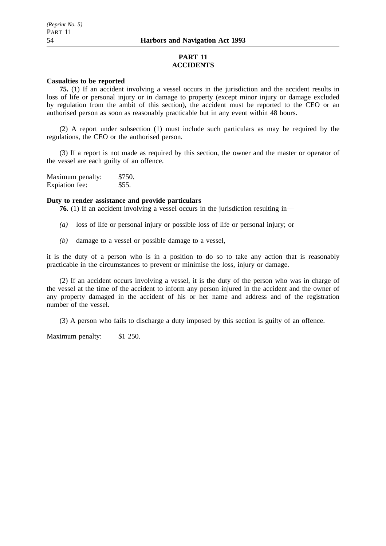# **PART 11 ACCIDENTS**

### **Casualties to be reported**

**75.** (1) If an accident involving a vessel occurs in the jurisdiction and the accident results in loss of life or personal injury or in damage to property (except minor injury or damage excluded by regulation from the ambit of this section), the accident must be reported to the CEO or an authorised person as soon as reasonably practicable but in any event within 48 hours.

(2) A report under subsection (1) must include such particulars as may be required by the regulations, the CEO or the authorised person.

(3) If a report is not made as required by this section, the owner and the master or operator of the vessel are each guilty of an offence.

| Maximum penalty: | \$750. |
|------------------|--------|
| Expiation fee:   | \$55.  |

### **Duty to render assistance and provide particulars**

**76.** (1) If an accident involving a vessel occurs in the jurisdiction resulting in—

- *(a)* loss of life or personal injury or possible loss of life or personal injury; or
- *(b)* damage to a vessel or possible damage to a vessel,

it is the duty of a person who is in a position to do so to take any action that is reasonably practicable in the circumstances to prevent or minimise the loss, injury or damage.

(2) If an accident occurs involving a vessel, it is the duty of the person who was in charge of the vessel at the time of the accident to inform any person injured in the accident and the owner of any property damaged in the accident of his or her name and address and of the registration number of the vessel.

(3) A person who fails to discharge a duty imposed by this section is guilty of an offence.

Maximum penalty: \$1 250.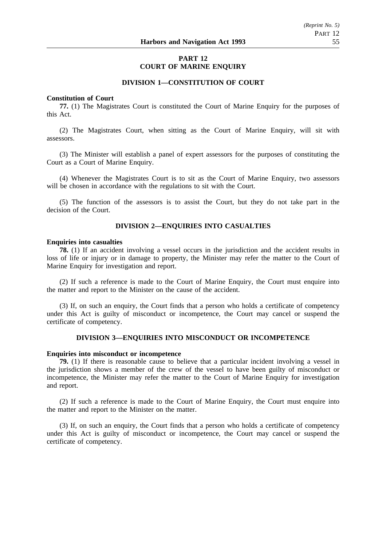# **PART 12 COURT OF MARINE ENQUIRY**

## **DIVISION 1—CONSTITUTION OF COURT**

#### **Constitution of Court**

**77.** (1) The Magistrates Court is constituted the Court of Marine Enquiry for the purposes of this Act.

(2) The Magistrates Court, when sitting as the Court of Marine Enquiry, will sit with assessors.

(3) The Minister will establish a panel of expert assessors for the purposes of constituting the Court as a Court of Marine Enquiry.

(4) Whenever the Magistrates Court is to sit as the Court of Marine Enquiry, two assessors will be chosen in accordance with the regulations to sit with the Court.

(5) The function of the assessors is to assist the Court, but they do not take part in the decision of the Court.

## **DIVISION 2—ENQUIRIES INTO CASUALTIES**

#### **Enquiries into casualties**

**78.** (1) If an accident involving a vessel occurs in the jurisdiction and the accident results in loss of life or injury or in damage to property, the Minister may refer the matter to the Court of Marine Enquiry for investigation and report.

(2) If such a reference is made to the Court of Marine Enquiry, the Court must enquire into the matter and report to the Minister on the cause of the accident.

(3) If, on such an enquiry, the Court finds that a person who holds a certificate of competency under this Act is guilty of misconduct or incompetence, the Court may cancel or suspend the certificate of competency.

### **DIVISION 3—ENQUIRIES INTO MISCONDUCT OR INCOMPETENCE**

### **Enquiries into misconduct or incompetence**

**79.** (1) If there is reasonable cause to believe that a particular incident involving a vessel in the jurisdiction shows a member of the crew of the vessel to have been guilty of misconduct or incompetence, the Minister may refer the matter to the Court of Marine Enquiry for investigation and report.

(2) If such a reference is made to the Court of Marine Enquiry, the Court must enquire into the matter and report to the Minister on the matter.

(3) If, on such an enquiry, the Court finds that a person who holds a certificate of competency under this Act is guilty of misconduct or incompetence, the Court may cancel or suspend the certificate of competency.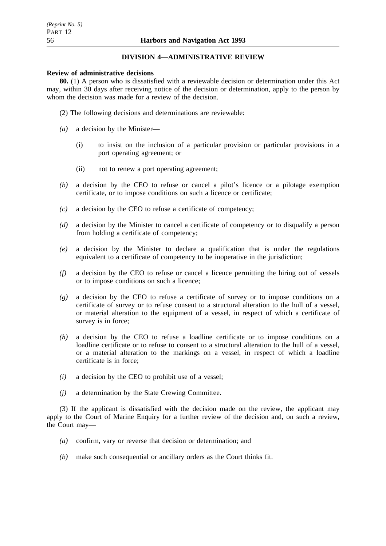# **DIVISION 4—ADMINISTRATIVE REVIEW**

### **Review of administrative decisions**

**80.** (1) A person who is dissatisfied with a reviewable decision or determination under this Act may, within 30 days after receiving notice of the decision or determination, apply to the person by whom the decision was made for a review of the decision.

- (2) The following decisions and determinations are reviewable:
- *(a)* a decision by the Minister—
	- (i) to insist on the inclusion of a particular provision or particular provisions in a port operating agreement; or
	- (ii) not to renew a port operating agreement;
- *(b)* a decision by the CEO to refuse or cancel a pilot's licence or a pilotage exemption certificate, or to impose conditions on such a licence or certificate;
- *(c)* a decision by the CEO to refuse a certificate of competency;
- *(d)* a decision by the Minister to cancel a certificate of competency or to disqualify a person from holding a certificate of competency;
- *(e)* a decision by the Minister to declare a qualification that is under the regulations equivalent to a certificate of competency to be inoperative in the jurisdiction;
- *(f)* a decision by the CEO to refuse or cancel a licence permitting the hiring out of vessels or to impose conditions on such a licence;
- *(g)* a decision by the CEO to refuse a certificate of survey or to impose conditions on a certificate of survey or to refuse consent to a structural alteration to the hull of a vessel, or material alteration to the equipment of a vessel, in respect of which a certificate of survey is in force;
- *(h)* a decision by the CEO to refuse a loadline certificate or to impose conditions on a loadline certificate or to refuse to consent to a structural alteration to the hull of a vessel, or a material alteration to the markings on a vessel, in respect of which a loadline certificate is in force;
- *(i)* a decision by the CEO to prohibit use of a vessel;
- *(j)* a determination by the State Crewing Committee.

(3) If the applicant is dissatisfied with the decision made on the review, the applicant may apply to the Court of Marine Enquiry for a further review of the decision and, on such a review, the Court may—

- *(a)* confirm, vary or reverse that decision or determination; and
- *(b)* make such consequential or ancillary orders as the Court thinks fit.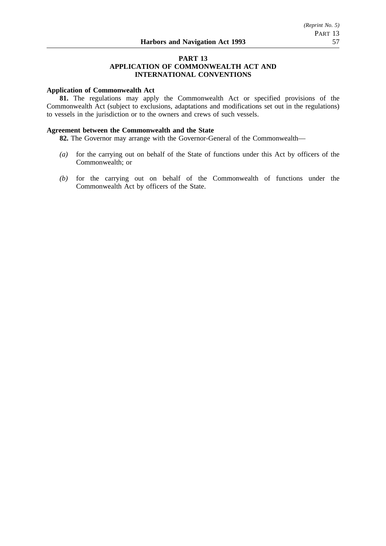# **PART 13**

### **APPLICATION OF COMMONWEALTH ACT AND INTERNATIONAL CONVENTIONS**

## **Application of Commonwealth Act**

**81.** The regulations may apply the Commonwealth Act or specified provisions of the Commonwealth Act (subject to exclusions, adaptations and modifications set out in the regulations) to vessels in the jurisdiction or to the owners and crews of such vessels.

### **Agreement between the Commonwealth and the State**

**82.** The Governor may arrange with the Governor-General of the Commonwealth—

- *(a)* for the carrying out on behalf of the State of functions under this Act by officers of the Commonwealth; or
- *(b)* for the carrying out on behalf of the Commonwealth of functions under the Commonwealth Act by officers of the State.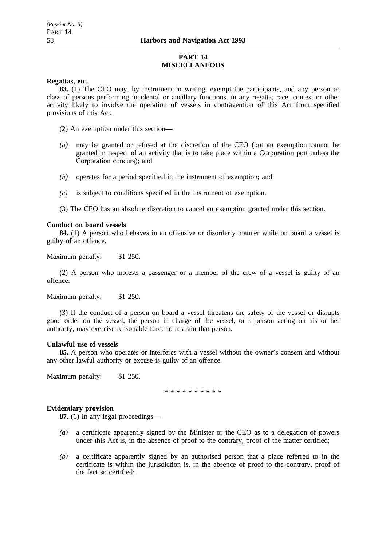# **PART 14 MISCELLANEOUS**

### **Regattas, etc.**

**83.** (1) The CEO may, by instrument in writing, exempt the participants, and any person or class of persons performing incidental or ancillary functions, in any regatta, race, contest or other activity likely to involve the operation of vessels in contravention of this Act from specified provisions of this Act.

(2) An exemption under this section—

- *(a)* may be granted or refused at the discretion of the CEO (but an exemption cannot be granted in respect of an activity that is to take place within a Corporation port unless the Corporation concurs); and
- *(b)* operates for a period specified in the instrument of exemption; and
- *(c)* is subject to conditions specified in the instrument of exemption.
- (3) The CEO has an absolute discretion to cancel an exemption granted under this section.

### **Conduct on board vessels**

**84.** (1) A person who behaves in an offensive or disorderly manner while on board a vessel is guilty of an offence.

Maximum penalty: \$1 250.

(2) A person who molests a passenger or a member of the crew of a vessel is guilty of an offence.

Maximum penalty: \$1 250.

(3) If the conduct of a person on board a vessel threatens the safety of the vessel or disrupts good order on the vessel, the person in charge of the vessel, or a person acting on his or her authority, may exercise reasonable force to restrain that person.

## **Unlawful use of vessels**

**85.** A person who operates or interferes with a vessel without the owner's consent and without any other lawful authority or excuse is guilty of an offence.

Maximum penalty: \$1 250.

\*\*\*\*\*\*\*\*\*\*

# **Evidentiary provision**

**87.** (1) In any legal proceedings—

- *(a)* a certificate apparently signed by the Minister or the CEO as to a delegation of powers under this Act is, in the absence of proof to the contrary, proof of the matter certified;
- *(b)* a certificate apparently signed by an authorised person that a place referred to in the certificate is within the jurisdiction is, in the absence of proof to the contrary, proof of the fact so certified;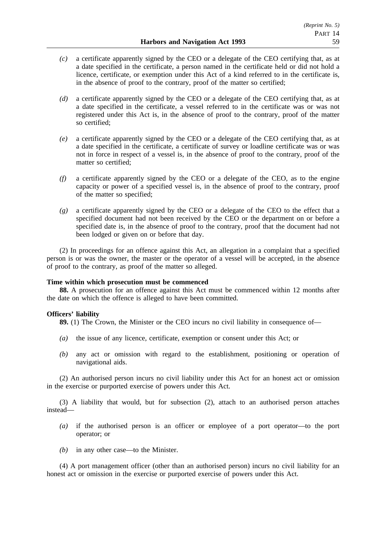- *(c)* a certificate apparently signed by the CEO or a delegate of the CEO certifying that, as at a date specified in the certificate, a person named in the certificate held or did not hold a licence, certificate, or exemption under this Act of a kind referred to in the certificate is, in the absence of proof to the contrary, proof of the matter so certified;
- *(d)* a certificate apparently signed by the CEO or a delegate of the CEO certifying that, as at a date specified in the certificate, a vessel referred to in the certificate was or was not registered under this Act is, in the absence of proof to the contrary, proof of the matter so certified;
- *(e)* a certificate apparently signed by the CEO or a delegate of the CEO certifying that, as at a date specified in the certificate, a certificate of survey or loadline certificate was or was not in force in respect of a vessel is, in the absence of proof to the contrary, proof of the matter so certified;
- *(f)* a certificate apparently signed by the CEO or a delegate of the CEO, as to the engine capacity or power of a specified vessel is, in the absence of proof to the contrary, proof of the matter so specified;
- *(g)* a certificate apparently signed by the CEO or a delegate of the CEO to the effect that a specified document had not been received by the CEO or the department on or before a specified date is, in the absence of proof to the contrary, proof that the document had not been lodged or given on or before that day.

(2) In proceedings for an offence against this Act, an allegation in a complaint that a specified person is or was the owner, the master or the operator of a vessel will be accepted, in the absence of proof to the contrary, as proof of the matter so alleged.

### **Time within which prosecution must be commenced**

**88.** A prosecution for an offence against this Act must be commenced within 12 months after the date on which the offence is alleged to have been committed.

# **Officers' liability**

**89.** (1) The Crown, the Minister or the CEO incurs no civil liability in consequence of—

- *(a)* the issue of any licence, certificate, exemption or consent under this Act; or
- *(b)* any act or omission with regard to the establishment, positioning or operation of navigational aids.

(2) An authorised person incurs no civil liability under this Act for an honest act or omission in the exercise or purported exercise of powers under this Act.

(3) A liability that would, but for subsection (2), attach to an authorised person attaches instead—

- *(a)* if the authorised person is an officer or employee of a port operator—to the port operator; or
- *(b)* in any other case—to the Minister.

(4) A port management officer (other than an authorised person) incurs no civil liability for an honest act or omission in the exercise or purported exercise of powers under this Act.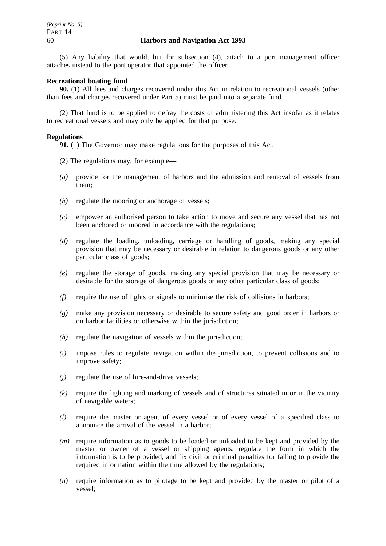(5) Any liability that would, but for subsection (4), attach to a port management officer attaches instead to the port operator that appointed the officer.

### **Recreational boating fund**

**90.** (1) All fees and charges recovered under this Act in relation to recreational vessels (other than fees and charges recovered under Part 5) must be paid into a separate fund.

(2) That fund is to be applied to defray the costs of administering this Act insofar as it relates to recreational vessels and may only be applied for that purpose.

### **Regulations**

**91.** (1) The Governor may make regulations for the purposes of this Act.

- (2) The regulations may, for example—
- *(a)* provide for the management of harbors and the admission and removal of vessels from them;
- *(b)* regulate the mooring or anchorage of vessels;
- *(c)* empower an authorised person to take action to move and secure any vessel that has not been anchored or moored in accordance with the regulations;
- *(d)* regulate the loading, unloading, carriage or handling of goods, making any special provision that may be necessary or desirable in relation to dangerous goods or any other particular class of goods;
- *(e)* regulate the storage of goods, making any special provision that may be necessary or desirable for the storage of dangerous goods or any other particular class of goods;
- *(f)* require the use of lights or signals to minimise the risk of collisions in harbors;
- *(g)* make any provision necessary or desirable to secure safety and good order in harbors or on harbor facilities or otherwise within the jurisdiction;
- *(h)* regulate the navigation of vessels within the jurisdiction;
- *(i)* impose rules to regulate navigation within the jurisdiction, to prevent collisions and to improve safety;
- *(j)* regulate the use of hire-and-drive vessels;
- *(k)* require the lighting and marking of vessels and of structures situated in or in the vicinity of navigable waters;
- *(l)* require the master or agent of every vessel or of every vessel of a specified class to announce the arrival of the vessel in a harbor;
- *(m)* require information as to goods to be loaded or unloaded to be kept and provided by the master or owner of a vessel or shipping agents, regulate the form in which the information is to be provided, and fix civil or criminal penalties for failing to provide the required information within the time allowed by the regulations;
- *(n)* require information as to pilotage to be kept and provided by the master or pilot of a vessel;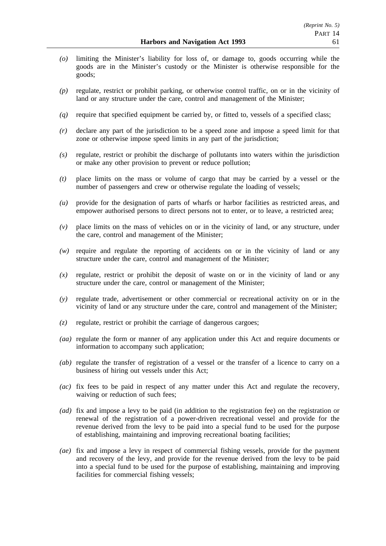- *(o)* limiting the Minister's liability for loss of, or damage to, goods occurring while the goods are in the Minister's custody or the Minister is otherwise responsible for the goods;
- *(p)* regulate, restrict or prohibit parking, or otherwise control traffic, on or in the vicinity of land or any structure under the care, control and management of the Minister;
- *(q)* require that specified equipment be carried by, or fitted to, vessels of a specified class;
- *(r)* declare any part of the jurisdiction to be a speed zone and impose a speed limit for that zone or otherwise impose speed limits in any part of the jurisdiction;
- *(s)* regulate, restrict or prohibit the discharge of pollutants into waters within the jurisdiction or make any other provision to prevent or reduce pollution;
- *(t)* place limits on the mass or volume of cargo that may be carried by a vessel or the number of passengers and crew or otherwise regulate the loading of vessels;
- *(u)* provide for the designation of parts of wharfs or harbor facilities as restricted areas, and empower authorised persons to direct persons not to enter, or to leave, a restricted area;
- *(v)* place limits on the mass of vehicles on or in the vicinity of land, or any structure, under the care, control and management of the Minister;
- *(w)* require and regulate the reporting of accidents on or in the vicinity of land or any structure under the care, control and management of the Minister;
- *(x)* regulate, restrict or prohibit the deposit of waste on or in the vicinity of land or any structure under the care, control or management of the Minister;
- *(y)* regulate trade, advertisement or other commercial or recreational activity on or in the vicinity of land or any structure under the care, control and management of the Minister;
- *(z)* regulate, restrict or prohibit the carriage of dangerous cargoes;
- *(aa)* regulate the form or manner of any application under this Act and require documents or information to accompany such application;
- *(ab)* regulate the transfer of registration of a vessel or the transfer of a licence to carry on a business of hiring out vessels under this Act;
- *(ac)* fix fees to be paid in respect of any matter under this Act and regulate the recovery, waiving or reduction of such fees;
- *(ad)* fix and impose a levy to be paid (in addition to the registration fee) on the registration or renewal of the registration of a power-driven recreational vessel and provide for the revenue derived from the levy to be paid into a special fund to be used for the purpose of establishing, maintaining and improving recreational boating facilities;
- *(ae)* fix and impose a levy in respect of commercial fishing vessels, provide for the payment and recovery of the levy, and provide for the revenue derived from the levy to be paid into a special fund to be used for the purpose of establishing, maintaining and improving facilities for commercial fishing vessels;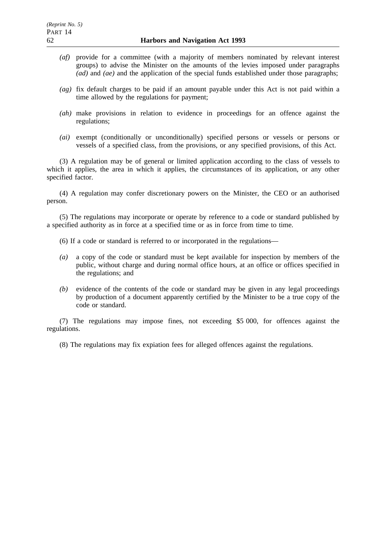- *(af)* provide for a committee (with a majority of members nominated by relevant interest groups) to advise the Minister on the amounts of the levies imposed under paragraphs *(ad)* and *(ae)* and the application of the special funds established under those paragraphs;
- *(ag)* fix default charges to be paid if an amount payable under this Act is not paid within a time allowed by the regulations for payment;
- *(ah)* make provisions in relation to evidence in proceedings for an offence against the regulations;
- *(ai)* exempt (conditionally or unconditionally) specified persons or vessels or persons or vessels of a specified class, from the provisions, or any specified provisions, of this Act.

(3) A regulation may be of general or limited application according to the class of vessels to which it applies, the area in which it applies, the circumstances of its application, or any other specified factor.

(4) A regulation may confer discretionary powers on the Minister, the CEO or an authorised person.

(5) The regulations may incorporate or operate by reference to a code or standard published by a specified authority as in force at a specified time or as in force from time to time.

- (6) If a code or standard is referred to or incorporated in the regulations—
- *(a)* a copy of the code or standard must be kept available for inspection by members of the public, without charge and during normal office hours, at an office or offices specified in the regulations; and
- *(b)* evidence of the contents of the code or standard may be given in any legal proceedings by production of a document apparently certified by the Minister to be a true copy of the code or standard.

(7) The regulations may impose fines, not exceeding \$5 000, for offences against the regulations.

(8) The regulations may fix expiation fees for alleged offences against the regulations.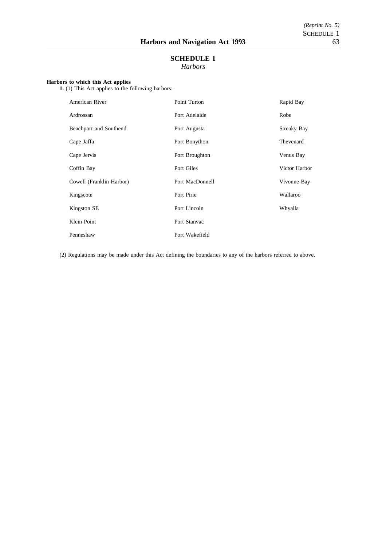# **SCHEDULE 1** *Harbors*

### **Harbors to which this Act applies**

**1.** (1) This Act applies to the following harbors:

| American River           | Point Turton    | Rapid Bay          |
|--------------------------|-----------------|--------------------|
| Ardrossan                | Port Adelaide   | Robe               |
| Beachport and Southend   | Port Augusta    | <b>Streaky Bay</b> |
| Cape Jaffa               | Port Bonython   | Thevenard          |
| Cape Jervis              | Port Broughton  | Venus Bay          |
| Coffin Bay               | Port Giles      | Victor Harbor      |
| Cowell (Franklin Harbor) | Port MacDonnell | Vivonne Bay        |
| Kingscote                | Port Pirie      | Wallaroo           |
| Kingston SE              | Port Lincoln    | Whyalla            |
| Klein Point              | Port Stanvac    |                    |
| Penneshaw                | Port Wakefield  |                    |

(2) Regulations may be made under this Act defining the boundaries to any of the harbors referred to above.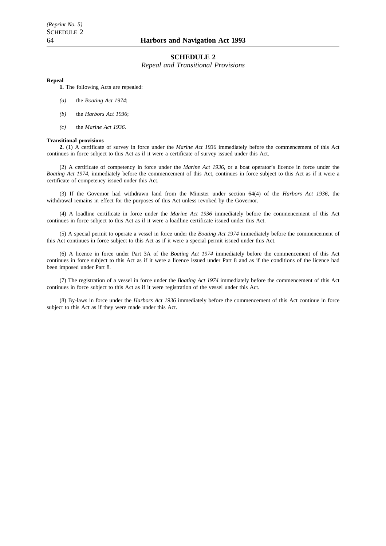# **SCHEDULE 2**

*Repeal and Transitional Provisions*

#### **Repeal**

**1.** The following Acts are repealed:

- *(a)* the *Boating Act 1974*;
- *(b)* the *Harbors Act 1936*;
- *(c)* the *Marine Act 1936*.

#### **Transitional provisions**

**2.** (1) A certificate of survey in force under the *Marine Act 1936* immediately before the commencement of this Act continues in force subject to this Act as if it were a certificate of survey issued under this Act.

(2) A certificate of competency in force under the *Marine Act 1936*, or a boat operator's licence in force under the *Boating Act 1974*, immediately before the commencement of this Act, continues in force subject to this Act as if it were a certificate of competency issued under this Act.

(3) If the Governor had withdrawn land from the Minister under section 64(4) of the *Harbors Act 1936*, the withdrawal remains in effect for the purposes of this Act unless revoked by the Governor.

(4) A loadline certificate in force under the *Marine Act 1936* immediately before the commencement of this Act continues in force subject to this Act as if it were a loadline certificate issued under this Act.

(5) A special permit to operate a vessel in force under the *Boating Act 1974* immediately before the commencement of this Act continues in force subject to this Act as if it were a special permit issued under this Act.

(6) A licence in force under Part 3A of the *Boating Act 1974* immediately before the commencement of this Act continues in force subject to this Act as if it were a licence issued under Part 8 and as if the conditions of the licence had been imposed under Part 8.

(7) The registration of a vessel in force under the *Boating Act 1974* immediately before the commencement of this Act continues in force subject to this Act as if it were registration of the vessel under this Act.

(8) By-laws in force under the *Harbors Act 1936* immediately before the commencement of this Act continue in force subject to this Act as if they were made under this Act.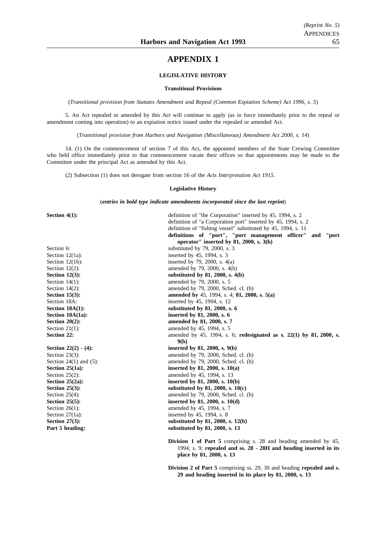# **APPENDIX 1**

#### **LEGISLATIVE HISTORY**

#### **Transitional Provisions**

(*Transitional provision from Statutes Amendment and Repeal (Common Expiation Scheme) Act 1996, s. 5*)

5. An Act repealed or amended by this Act will continue to apply (as in force immediately prior to the repeal or amendment coming into operation) to an expiation notice issued under the repealed or amended Act.

(*Transitional provision from Harbors and Navigation (Miscellaneous) Amendment Act 2000, s. 14*)

14. (1) On the commencement of section 7 of this Act, the appointed members of the State Crewing Committee who held office immediately prior to that commencement vacate their offices so that appointments may be made to the Committee under the principal Act as amended by this Act.

(2) Subsection (1) does not derogate from section 16 of the *Acts Interpretation Act 1915*.

#### **Legislative History**

(*entries in bold type indicate amendments incorporated since the last reprint*)

**Section 4(1):** definition of "the Corporation" inserted by 45, 1994, s. 2 definition of "a Corporation port" inserted by 45, 1994, s. 2 definition of "fishing vessel" substituted by 45, 1994, s. 11 **definitions of "port", "port management officer" and "port operator" inserted by 81, 2000, s. 3(b)** Section 6: substituted by 79, 2000, s. 3 Section 12(1a): inserted by 45, 1994, s. 3 Section 12(1b): inserted by 79, 2000, s.  $4(a)$ Section 12(2):  $\qquad \qquad \text{amended by 79, 2000, s. } 4(b)$ **Section 12(3):** substituted by 81, 2000, s. 4(b) Section 14(1): amended by 79, 2000, s. 5 Section 14(2): amended by 79, 2000, Sched. cl. (b) **Section 15(3): amended by** 45, 1994, s. 4; **81, 2000, s. 5(a)** Section 18A: inserted by 45, 1994, s. 12 Section 18A(1): substituted by 81, 2000, s. 6 **Section 18A(1a):** inserted by 81, 2000, s. 6 **Section 20(2):** amended by 81, 2000, s. 7 Section 21(1): amended by 45, 1994, s. 5 **Section 22: amended by 45, 1994, s. 6; <b>redesignated as s. 22(1) by 81, 2000, s. 9(b) Section 22(2) - (4):** inserted by 81, 2000, s. 9(b) Section 23(3): amended by 79, 2000, Sched. cl. (b) Section 24(1) and (5): amended by 79, 2000, Sched. cl. (b)<br>Section 25(1a): inserted by 81, 2000, s. 10(a) **Section 25(1a): inserted by 81, 2000, s. 10(a)** Section 25(2): amended by 45, 1994, s. 13 **Section 25(2a):** inserted by 81, 2000, s. 10(b)<br>Section 25(3): substituted by 81, 2000, s. 10 **Section 25(3): substituted by 81, 2000, s. 10(c)** Section 25(4): amended by 79, 2000, Sched. cl. (b) **Section 25(5): inserted by 81, 2000, s. 10(d)**<br>Section 26(1): **impared by 45, 1994, s. 7** amended by 45, 1994, s. 7 Section 27(1a): inserted by 45, 1994, s. 8 **Section 27(3):** substituted by 81, 2000, s. 12(b) **Part 5 heading:** substituted by 81, 2000, s. 13

> **Division 1 of Part 5** comprising s. 28 and heading amended by 45, 1994, s. 9; **repealed and ss. 28 - 28H and heading inserted in its place by 81, 2000, s. 13**

> **Division 2 of Part 5** comprising ss. 29, 30 and heading **repealed and s. 29 and heading inserted in its place by 81, 2000, s. 13**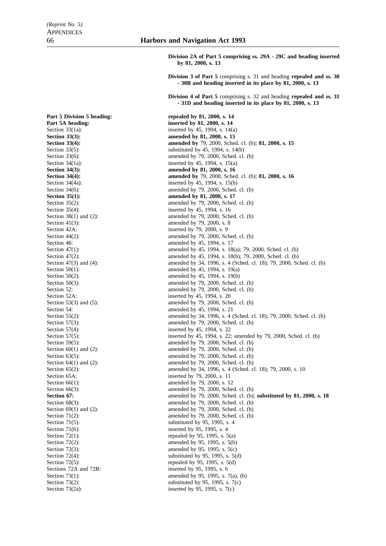**Part 5 Division 5 heading:** repealed by 81, 2000, s. 14 **Part 5A heading: inserted by 81, 2000, s. 14** Section  $35(4)$ : inserted by 45, 1994, s. 16 Section 42A: inserted by 79, 2000, s. 9 Section 46: **amended** by 45, 1994, s. 17 Section 52A: inserted by 45, 1994, s. 20<br>Section 53(3) and (5): amended by 79, 2000, Sch Section 54: **amended** by 45, 1994, s. 21 Section 66(1): amended by 79, 2000, s. 12 Section 71(6): inserted by 95, 1995, s. 4 Sections 72A and 72B: inserted by 95, 1995, s. 6

**Division 2A of Part 5 comprising ss. 29A - 29C and heading inserted by 81, 2000, s. 13**

**Division 3 of Part 5** comprising s. 31 and heading **repealed and ss. 30 - 30B and heading inserted in its place by 81, 2000, s. 13**

**Division 4 of Part 5** comprising s. 32 and heading **repealed and ss. 31 - 31D and heading inserted in its place by 81, 2000, s. 13**

Section 33(1a): inserted by 45, 1994, s. 14(a) **Section 33(3):** amended by 81, 2000, s. 15 **Section 33(4): amended by** 79, 2000, Sched. cl. (b); **81, 2000, s. 15** Section  $33(5)$ : substituted by 45, 1994, s. 14(b) Section 33(6): amended by 79, 2000, Sched. cl. (b) Section 34(1a): inserted by 45, 1994, s. 15(a) **Section 34(3): amended by 81, 2000, s. 16 Section 34(4): amended by** 79, 2000, Sched. cl. (b); **81, 2000, s. 16** Section 34(4a): inserted by 45, 1994, s. 15(b) Section 34(6): amended by 79, 2000, Sched. cl. (b) **Section 35(1):** amended by 81, 2000, s. 17 Section 35(2): amended by 79, 2000, Sched. cl. (b) Section 38(1) and (2): amended by 79, 2000, Sched. cl. (b)<br>Section 41(3): amended by 79, 2000, s. 8 amended by 79, 2000, s. 8 Section 44(2): amended by 79, 2000, Sched. cl. (b) Section 47(1): amended by 45, 1994, s. 18(a); 79, 2000, Sched. cl. (b) Section 47(2): amended by 45, 1994, s. 18(b); 79, 2000, Sched. cl. (b) Section 47(3) and (4): amended by 34, 1996, s. 4 (Sched. cl. 18); 79, 2000, Sched. cl. (b) Section 50(1): amended by 45, 1994, s. 19(a) Section 50(2): amended by 45, 1994, s. 19(b) Section 50(3): amended by 79, 2000, Sched. cl. (b) Section 52: amended by 79, 2000, Sched. cl. (b) amended by  $79, 2000,$  Sched. cl. (b) Section 55(2): amended by 34, 1996, s. 4 (Sched. cl. 18); 79, 2000, Sched. cl. (b) Section  $57(3)$ : amended by 79, 2000, Sched. cl. (b)<br>Section  $57(4)$ : inserted by 45, 1994, s. 22 inserted by 45, 1994, s. 22 Section 57(5): inserted by 45, 1994, s. 22; amended by 79, 2000, Sched. cl. (b) Section 59(5): amended by 79, 2000, Sched. cl. (b) Section  $60(1)$  and  $(2)$ : amended by 79, 2000, Sched. cl. (b) Section 63(5): amended by 79, 2000, Sched. cl. (b)<br>Section 64(1) and (2): amended by 79, 2000, Sched. cl. (b) amended by  $79, 2000,$  Sched. cl. (b) Section 65(2): amended by 34, 1996, s. 4 (Sched. cl. 18); 79, 2000, s. 10<br>Section 65A: inserted by 79, 2000, s. 11 inserted by 79, 2000, s. 11 Section 66(3): amended by 79, 2000, Sched. cl. (b) **Section 67: amended by 79, 2000, Sched. cl. (b); <b>substituted by 81, 2000, s. 18** Section 68(3): amended by 79, 2000, Sched. cl. (b) Section 69(1) and (2): amended by 79, 2000, Sched. cl. (b) Section 71(2): amended by 79, 2000, Sched. cl. (b) Section 71(5): substituted by 95, 1995, s. 4 Section 72(1): repealed by 95, 1995, s.  $5(a)$ Section  $72(2)$ : amended by 95, 1995, s. 5(b) Section 72(3): amended by 95, 1995, s. 5(c) Section  $72(4)$ : substituted by 95, 1995, s. 5(d) Section  $72(5)$ : repealed by 95, 1995, s. 5(d) Section 73(1): amended by 95, 1995, s. 7(a), (b) Section 73(2): substituted by 95, 1995, s.  $7(c)$ Section 73(2a): inserted by 95, 1995, s. 7(c)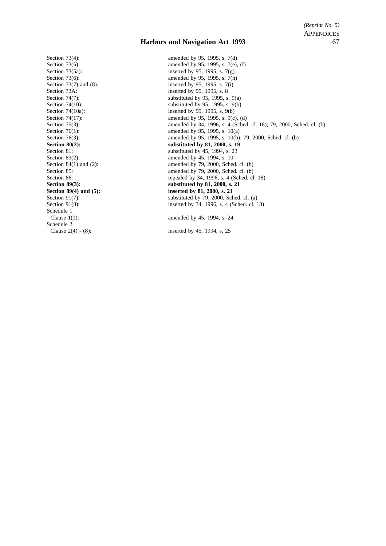Section 73(4): amended by 95, 1995, s. 7(d) Section 73A: inserted by 95, 1995, s. 8 Schedule 1 Clause 1(1): amended by 45, 1994, s. 24 Schedule 2

Section 73(5): amended by 95, 1995, s. 7(e), (f)<br>Section 73(5a): inserted by 95, 1995, s. 7(g) inserted by 95, 1995, s.  $7(g)$ Section 73(6): amended by 95, 1995, s. 7(h) Section 73(7) and (8): inserted by 95, 1995, s. 7(i) Section 74(7):<br>Section 74(10):<br>Section 74(10):<br>Section 74(10):<br>Section 74(10): Section 74(10):<br>Section 74(10a):<br>Section 74(10a):<br>Section 74(10a):<br>Section 74(10a): Section 74(10a): inserted by 95, 1995, s. 9(b)<br>Section 74(17): inserted by 95, 1995, s. 9(c) Section 74(17): amended by 95, 1995, s. 9(c), (d)<br>Section 75(3): amended by 34, 1996, s. 4 (Sched Section 75(3): amended by 34, 1996, s. 4 (Sched. cl. 18); 79, 2000, Sched. cl. (b)<br>Section 76(1): amended by 95, 1995, s. 10(a) Section 76(1): amended by 95, 1995, s. 10(a)<br>Section 76(3): amended by 95, 1995, s. 10(b) amended by 95, 1995, s. 10(b); 79, 2000, Sched. cl. (b) **Section 80(2):** substituted by 81, 2000, s. 19 Section 81: substituted by 45, 1994, s. 23 Section 83(2): amended by 45, 1994, s. 10<br>Section 84(1) and (2): amended by 79, 2000, Schec amended by  $79$ ,  $2000$ , Sched. cl. (b) Section 85: amended by 79, 2000, Sched. cl. (b) Section 86: repealed by 34, 1996, s. 4 (Sched. cl. 18)<br>Section 89(3): substituted by 81, 2000, s. 21 **Section 89(3): substituted by 81, 2000, s. 21 Section 89(4) and (5):** inserted by 81, 2000, s. 21 Section 91(7):<br>Section 91(8):<br>Section 91(8):<br>Section 91(8):<br>Section 91(8):<br>Section 91(8): inserted by 34, 1996, s. 4 (Sched. cl. 18)

Clause 2(4) - (8): inserted by 45, 1994, s. 25